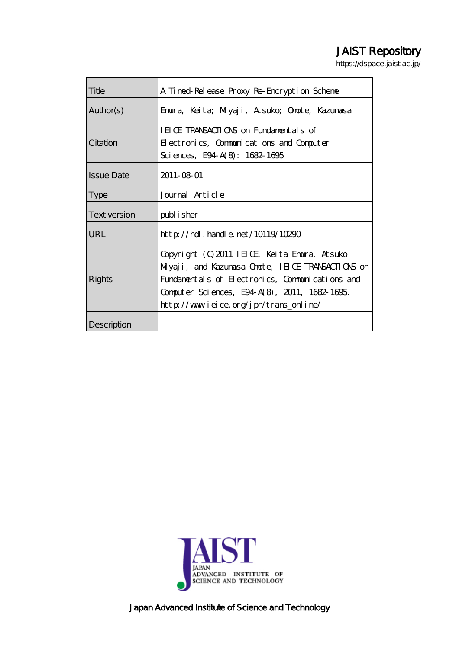# JAIST Repository

https://dspace.jaist.ac.jp/

| Title             | A Timed-Release Proxy Re-Encryption Scheme         |  |  |  |  |  |
|-------------------|----------------------------------------------------|--|--|--|--|--|
| Author(s)         | Emura, Keita; Milyaji, Atsuko; Omote, Kazumasa     |  |  |  |  |  |
|                   | IEICE TRANSACTIONS on Fundamentals of              |  |  |  |  |  |
| Citation          | Electronics, Communications and Computer           |  |  |  |  |  |
|                   | Sciences, E94 A(8): 1682-1695                      |  |  |  |  |  |
| <b>Issue Date</b> | 2011-08-01                                         |  |  |  |  |  |
| <b>Type</b>       | Journal Article                                    |  |  |  |  |  |
| Text version      | publisher                                          |  |  |  |  |  |
| <b>URL</b>        | http://hdl.handle.net/10119/10290                  |  |  |  |  |  |
|                   | Copyright (C) 2011 IEICE Keita Emmura, Atsuko      |  |  |  |  |  |
|                   | Milyaji, and Kazunasa Onote, IEIOE TRANSACTIONS on |  |  |  |  |  |
| Rights            | Fundamentals of Electronics, Communications and    |  |  |  |  |  |
|                   | Computer Sciences, E94 A(8), 2011, 1682-1695.      |  |  |  |  |  |
|                   | http://www.ieice.org/jpn/trans_online/             |  |  |  |  |  |
| Description       |                                                    |  |  |  |  |  |



Japan Advanced Institute of Science and Technology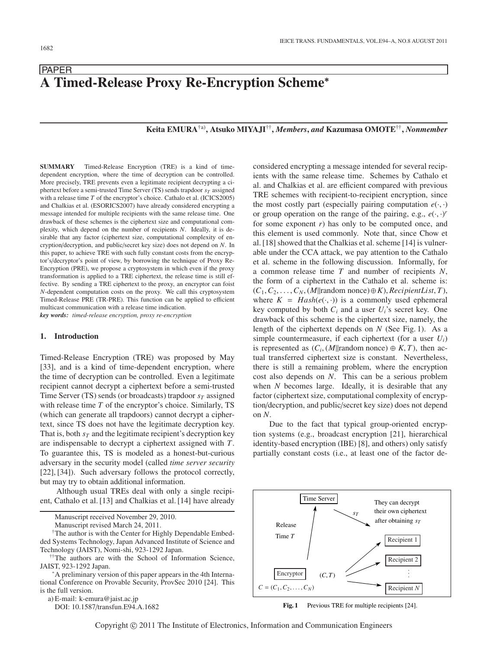## PAPER **A Timed-Release Proxy Re-Encryption Scheme**<sup>∗</sup>

## **Keita EMURA**†a)**, Atsuko MIYAJI**††**,** *Members***,** *and* **Kazumasa OMOTE**††**,** *Nonmember*

**SUMMARY** Timed-Release Encryption (TRE) is a kind of timedependent encryption, where the time of decryption can be controlled. More precisely, TRE prevents even a legitimate recipient decrypting a ciphertext before a semi-trusted Time Server  $(TS)$  sends trapdoor  $s_T$  assigned with a release time *T* of the encryptor's choice. Cathalo et al. (ICICS2005) and Chalkias et al. (ESORICS2007) have already considered encrypting a message intended for multiple recipients with the same release time. One drawback of these schemes is the ciphertext size and computational complexity, which depend on the number of recipients *N*. Ideally, it is desirable that any factor (ciphertext size, computational complexity of encryption/decryption, and public/secret key size) does not depend on *N*. In this paper, to achieve TRE with such fully constant costs from the encryptor's/decryptor's point of view, by borrowing the technique of Proxy Re-Encryption (PRE), we propose a cryptosystem in which even if the proxy transformation is applied to a TRE ciphertext, the release time is still effective. By sending a TRE ciphertext to the proxy, an encryptor can foist *N*-dependent computation costs on the proxy. We call this cryptosystem Timed-Release PRE (TR-PRE). This function can be applied to efficient multicast communication with a release time indication. *key words: timed-release encryption, proxy re-encryption*

## **1. Introduction**

Timed-Release Encryption (TRE) was proposed by May [33], and is a kind of time-dependent encryption, where the time of decryption can be controlled. Even a legitimate recipient cannot decrypt a ciphertext before a semi-trusted Time Server (TS) sends (or broadcasts) trapdoor  $s_T$  assigned with release time *T* of the encryptor's choice. Similarly, TS (which can generate all trapdoors) cannot decrypt a ciphertext, since TS does not have the legitimate decryption key. That is, both  $s_T$  and the legitimate recipient's decryption key are indispensable to decrypt a ciphertext assigned with *T*. To guarantee this, TS is modeled as a honest-but-curious adversary in the security model (called *time server security* [22], [34]). Such adversary follows the protocol correctly, but may try to obtain additional information.

Although usual TREs deal with only a single recipient, Cathalo et al. [13] and Chalkias et al. [14] have already

Manuscript received November 29, 2010.

Manuscript revised March 24, 2011.

†The author is with the Center for Highly Dependable Embedded Systems Technology, Japan Advanced Institute of Science and Technology (JAIST), Nomi-shi, 923-1292 Japan.

††The authors are with the School of Information Science, JAIST, 923-1292 Japan.<br><sup>∗</sup>A preliminary version of this paper appears in the 4th Interna-

tional Conference on Provable Security, ProvSec 2010 [24]. This is the full version.

a) E-mail: k-emura@jaist.ac.jp

DOI: 10.1587/transfun.E94.A.1682

considered encrypting a message intended for several recipients with the same release time. Schemes by Cathalo et al. and Chalkias et al. are efficient compared with previous TRE schemes with recipient-to-recipient encryption, since the most costly part (especially pairing computation  $e(\cdot, \cdot)$ ) or group operation on the range of the pairing, e.g.,  $e(\cdot, \cdot)$ <sup>r</sup><br>for some exponent r) has only to be computed once and for some exponent *r*) has only to be computed once, and this element is used commonly. Note that, since Chow et al. [18] showed that the Chalkias et al. scheme [14] is vulnerable under the CCA attack, we pay attention to the Cathalo et al. scheme in the following discussion. Informally, for a common release time *T* and number of recipients *N*, the form of a ciphertext in the Cathalo et al. scheme is: (*C*1,*C*2,...,*CN*, (*M*||random nonce)⊕*K*), *RecipientList*, *<sup>T</sup>*), where  $K = Hash(e(\cdot, \cdot))$  is a commonly used ephemeral key computed by both  $C_i$  and a user  $U_i$ 's secret key. One drawback of this scheme is the ciphertext size, namely, the length of the ciphertext depends on *N* (See Fig. 1). As a simple countermeasure, if each ciphertext (for a user *Ui*) is represented as  $(C_i, (M|| \text{random nonce}) \oplus K, T)$ , then actual transferred ciphertext size is constant. Nevertheless, there is still a remaining problem, where the encryption cost also depends on *N*. This can be a serious problem when *N* becomes large. Ideally, it is desirable that any factor (ciphertext size, computational complexity of encryption/decryption, and public/secret key size) does not depend on *N*.

Due to the fact that typical group-oriented encryption systems (e.g., broadcast encryption [21], hierarchical identity-based encryption (IBE) [8], and others) only satisfy partially constant costs (i.e., at least one of the factor de-



Fig. 1 Previous TRE for multiple recipients [24].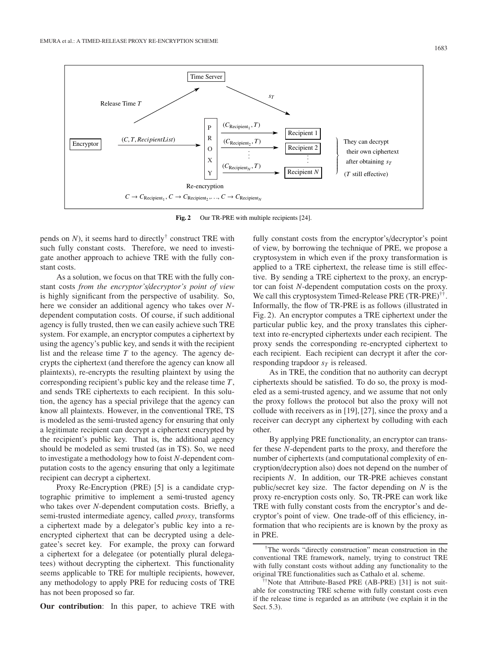

**Fig. 2** Our TR-PRE with multiple recipients [24].

pends on  $N$ ), it seems hard to directly<sup>†</sup> construct TRE with such fully constant costs. Therefore, we need to investigate another approach to achieve TRE with the fully constant costs.

As a solution, we focus on that TRE with the fully constant costs *from the encryptor's*/*decryptor's point of view* is highly significant from the perspective of usability. So, here we consider an additional agency who takes over *N*dependent computation costs. Of course, if such additional agency is fully trusted, then we can easily achieve such TRE system. For example, an encryptor computes a ciphertext by using the agency's public key, and sends it with the recipient list and the release time *T* to the agency. The agency decrypts the ciphertext (and therefore the agency can know all plaintexts), re-encrypts the resulting plaintext by using the corresponding recipient's public key and the release time *T*, and sends TRE ciphertexts to each recipient. In this solution, the agency has a special privilege that the agency can know all plaintexts. However, in the conventional TRE, TS is modeled as the semi-trusted agency for ensuring that only a legitimate recipient can decrypt a ciphertext encrypted by the recipient's public key. That is, the additional agency should be modeled as semi trusted (as in TS). So, we need to investigate a methodology how to foist *N*-dependent computation costs to the agency ensuring that only a legitimate recipient can decrypt a ciphertext.

Proxy Re-Encryption (PRE) [5] is a candidate cryptographic primitive to implement a semi-trusted agency who takes over *N*-dependent computation costs. Briefly, a semi-trusted intermediate agency, called *proxy*, transforms a ciphertext made by a delegator's public key into a reencrypted ciphertext that can be decrypted using a delegatee's secret key. For example, the proxy can forward a ciphertext for a delegatee (or potentially plural delegatees) without decrypting the ciphertext. This functionality seems applicable to TRE for multiple recipients, however, any methodology to apply PRE for reducing costs of TRE has not been proposed so far.

**Our contribution**: In this paper, to achieve TRE with

fully constant costs from the encryptor's/decryptor's point of view, by borrowing the technique of PRE, we propose a cryptosystem in which even if the proxy transformation is applied to a TRE ciphertext, the release time is still effective. By sending a TRE ciphertext to the proxy, an encryptor can foist *N*-dependent computation costs on the proxy. We call this cryptosystem Timed-Release PRE (TR-PRE)<sup>††</sup>. Informally, the flow of TR-PRE is as follows (illustrated in Fig. 2). An encryptor computes a TRE ciphertext under the particular public key, and the proxy translates this ciphertext into re-encrypted ciphertexts under each recipient. The proxy sends the corresponding re-encrypted ciphertext to each recipient. Each recipient can decrypt it after the corresponding trapdoor  $s_T$  is released.

As in TRE, the condition that no authority can decrypt ciphertexts should be satisfied. To do so, the proxy is modeled as a semi-trusted agency, and we assume that not only the proxy follows the protocol but also the proxy will not collude with receivers as in [19], [27], since the proxy and a receiver can decrypt any ciphertext by colluding with each other.

By applying PRE functionality, an encryptor can transfer these *N*-dependent parts to the proxy, and therefore the number of ciphertexts (and computational complexity of encryption/decryption also) does not depend on the number of recipients *N*. In addition, our TR-PRE achieves constant public/secret key size. The factor depending on *N* is the proxy re-encryption costs only. So, TR-PRE can work like TRE with fully constant costs from the encryptor's and decryptor's point of view. One trade-off of this efficiency, information that who recipients are is known by the proxy as in PRE.

<sup>†</sup>The words "directly construction" mean construction in the conventional TRE framework, namely, trying to construct TRE with fully constant costs without adding any functionality to the original TRE functionalities such as Cathalo et al. scheme.

<sup>††</sup>Note that Attribute-Based PRE (AB-PRE) [31] is not suitable for constructing TRE scheme with fully constant costs even if the release time is regarded as an attribute (we explain it in the Sect. 5.3).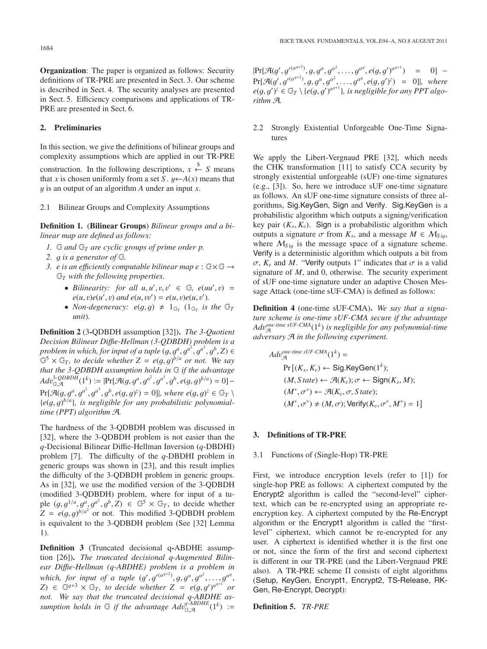**Organization**: The paper is organized as follows: Security definitions of TR-PRE are presented in Sect. 3. Our scheme is described in Sect. 4. The security analyses are presented in Sect. 5. Efficiency comparisons and applications of TR-PRE are presented in Sect. 6.

## **2. Preliminaries**

In this section, we give the definitions of bilinear groups and complexity assumptions which are applied in our TR-PRE

construction. In the following descriptions,  $x \stackrel{\$}{\leftarrow} S$  means that *x* is chosen uniformly from a set *S* .  $y \leftarrow A(x)$  means that y is an output of an algorithm *<sup>A</sup>* under an input *<sup>x</sup>*.

## 2.1 Bilinear Groups and Complexity Assumptions

**Definition 1.** (**Bilinear Groups**) *Bilinear groups and a bilinear map are defined as follows:*

- *1.* G *and* G*<sup>T</sup> are cyclic groups of prime order p.*
- *2.* g *is a generator of* <sup>G</sup>*.*
- *3. e is an e*ffi*ciently computable bilinear map e* : G×G → G*<sup>T</sup> with the following properties.*
	- *Bilinearity: for all*  $u, u', v, v' \in \mathbb{G}$ *,*  $e(uu', v) = e(u, v)e(u', v)$  *and*  $e(u, uv') = e(u, v)e(u', v')$  $e(u, v)e(u', v)$  and  $e(u, vv') = e(u, v)e(u, v').$ <br>Non-degeneracy:  $e(a, a) + 1$  s (1s is
	- *Non-degeneracy:*  $e(g, g) \neq 1_{\mathbb{G}_T}$  ( $1_{\mathbb{G}_T}$  *is the*  $\mathbb{G}_T$  *unit*) *unit*)*.*

**Definition 2** (3**-**QDBDH assumption [32])**.** *The 3-Quotient Decision Bilinear Di*ffi*e-Hellman (3-QDBDH) problem is a problem in which, for input of a tuple*  $(g, g^a, g^{a^2}, g^{a^3}, g^b, Z) \in$  $\mathbb{G}^5 \times \mathbb{G}_T$ , to decide whether  $Z = e(g, g)^{b/a}$  or not. We say *that the 3-QDBDH assumption holds in* G *if the advantage*  $Adv_{Q,\mathcal{A}}^{3\text{-}\mathcal{Q}DBDH}(1^k) := |\Pr[\mathcal{A}(g, g^a, g^{a^2}, g^{a^3}, g^b, e(g, g)^{b/a}) = 0] \Pr[\mathcal{A}(g, g^a, g^{a^2}, g^{a^3}, g^b, e(g, g)^z) = 0]$ , where  $e(g, g)^z \in \mathbb{G}_T \setminus \{e(g, g)^b\}$  is negligible for any probabilistic polynomial- ${e(g, g)^{b/a}}$ , is negligible for any probabilistic polynomial-<br>time (PPT) algorithm  $\mathcal{A}$ *time (PPT) algorithm* A*.*

The hardness of the 3-QDBDH problem was discussed in [32], where the 3-QDBDH problem is not easier than the *q*-Decisional Bilinear Diffie-Hellman Inversion (*q*-DBDHI) problem [7]. The difficulty of the *q*-DBDHI problem in generic groups was shown in [23], and this result implies the difficulty of the 3-QDBDH problem in generic groups. As in [32], we use the modified version of the 3-QDBDH (modified 3-QDBDH) problem, where for input of a tuple  $(g, g^{1/a}, g^a, g^a, g^b, Z) \in \mathbb{G}^5 \times \mathbb{G}_T$ , to decide whether  $Z = e(g, g)^{b/a^2}$  or not. This modified 3-ODBDH problem  $Z = e(g, g)^{b/a^2}$  or not. This modified 3-QDBDH problem<br>is equivalent to the 3-ODBDH problem (See [32] I emma is equivalent to the 3-QDBDH problem (See [32] Lemma 1).

**Definition 3** (Truncated decisional q**-**ABDHE assumption [26])**.** *The truncated decisional q-Augmented Bilinear Di*ffi*e-Hellman (q-ABDHE) problem is a problem in which, for input of a tuple*  $(g', g'^{(a^{q+2})}, g, g^{\alpha}, g^{\alpha^2}, \ldots, g^{\alpha^q})$ <br>  $Z \subseteq \mathbb{C}^{q+3} \times \mathbb{C}^{\infty}$  to decide whether  $Z = e(g, g')^{q^{q+1}}$  $Z$ )  $\in$   $\mathbb{G}^{q+3} \times \mathbb{G}_T$ , to decide whether  $Z = e(g, g')^{q^{q+1}}$  or<br>not We say that the truncated decisional a-ARDHE as*not. We say that the truncated decisional q-ABDHE assumption holds in*  $\mathbb{G}$  *if the advantage*  $Adv_{\mathbb{G},\mathcal{A}}^{q\text{-}ABDHE}(1^k) :=$ 

 $\Pr[\mathcal{A}(g', g'^{(a^{q+2})}, g, g^{\alpha}, g^{\alpha^2}, \dots, g^{\alpha^q}, e(g, g')^{a^{q+1}}) = 0] -$ <br> $\Pr[\mathcal{A}(g', g'^{(a^{q+2})}, g, g^{\alpha}, g^{\alpha^2}, \dots, g^{\alpha^q}, e(g, g')^{\zeta})] = 0$  $Pr[\mathcal{A}(g', g'^{(a^{q+2})}, g, g^{\alpha}, g^{\alpha^2}, \ldots, g^{\alpha^q}, e(g, g')^z] = 0]$ , where<br> $e(a, g')^z \in \mathbb{G}_x \setminus \{e(g, g')^{\alpha^{q+1}}\}$  is negligible for any PPT algo $e(g, g')^z \in \mathbb{G}_T \setminus \{e(g, g')^{a^{q+1}}\},$  *is negligible for any PPT algo-*<br>*rithm*  $\mathcal{A}$ *rithm* A*.*

## 2.2 Strongly Existential Unforgeable One-Time Signatures

We apply the Libert-Vergnaud PRE [32], which needs the CHK transformation [11] to satisfy CCA security by strongly existential unforgeable (sUF) one-time signatures (e.g., [3]). So, here we introduce sUF one-time signature as follows. An sUF one-time signature consists of three algorithms, Sig.KeyGen, Sign and Verify. Sig.KeyGen is a probabilistic algorithm which outputs a signing/verification key pair  $(K_s, K_v)$ . Sign is a probabilistic algorithm which outputs a signature  $\sigma$  from  $K_s$ , and a message  $M \in \mathcal{M}_{S_i}$ where  $M_{Siq}$  is the message space of a signature scheme. Verify is a deterministic algorithm which outputs a bit from  $\sigma$ ,  $K_v$  and *M*. "Verify outputs 1" indicates that  $\sigma$  is a valid signature of *M*, and 0, otherwise. The security experiment of sUF one-time signature under an adaptive Chosen Message Attack (one-time sUF-CMA) is defined as follows:

**Definition 4** (one-time sUF-CMA)**.** *We say that a signature scheme is one-time sUF-CMA secure if the advantage Ad*v*one-time sUF-CMA* <sup>A</sup> (1*k*) *is negligible for any polynomial-time adversary* A *in the following experiment.*

$$
Adv_{\mathcal{A}}^{one-time \, sUF-CMA}(1^k) =
$$
\n
$$
Pr\left[(K_s, K_v) \leftarrow Sig.KeyGen(1^k);
$$
\n
$$
(M, State) \leftarrow \mathcal{A}(K_v); \sigma \leftarrow Sign(K_s, M);
$$
\n
$$
(M^*, \sigma^*) \leftarrow \mathcal{A}(K_v, \sigma, State);
$$
\n
$$
(M^*, \sigma^*) \neq (M, \sigma); Verify(K_v, \sigma^*, M^*) = 1\right]
$$

#### **3. Definitions of TR-PRE**

#### 3.1 Functions of (Single-Hop) TR-PRE

First, we introduce encryption levels (refer to [1]) for single-hop PRE as follows: A ciphertext computed by the Encrypt2 algorithm is called the "second-level" ciphertext, which can be re-encrypted using an appropriate reencryption key. A ciphertext computed by the Re-Encrypt algorithm or the Encrypt1 algorithm is called the "firstlevel" ciphertext, which cannot be re-encrypted for any user. A ciphertext is identified whether it is the first one or not, since the form of the first and second ciphertext is different in our TR-PRE (and the Libert-Vergnaud PRE also). A TR-PRE scheme  $\Pi$  consists of eight algorithms (Setup, KeyGen, Encrypt1, Encrypt2, TS-Release, RK-Gen, Re-Encrypt, Decrypt):

## **Definition 5.** *TR-PRE*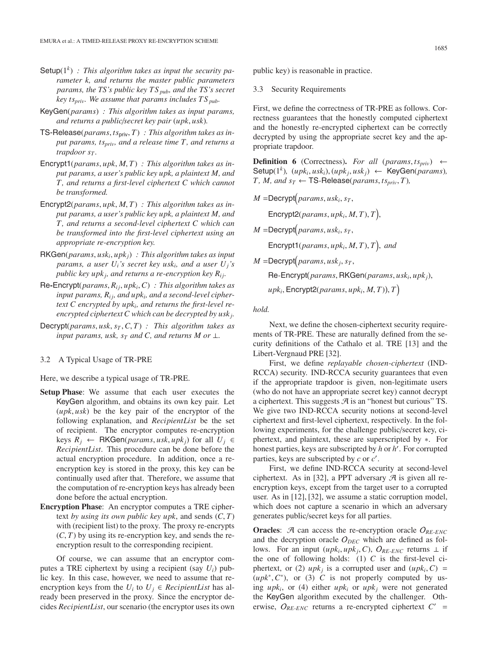- Setup(1*k*) *: This algorithm takes as input the security parameter k, and returns the master public parameters params, the TS's public key TS pub, and the TS's secret key tspriv. We assume that params includes TS pub.*
- KeyGen(*params*) *: This algorithm takes as input params, and returns a public*/*secret key pair* (*upk*, *usk*)*.*
- TS-Release(*params*, *ts*priv, *<sup>T</sup>*) *: This algorithm takes as input params, ts<sub>priv</sub>, and a release time T, and returns a trapdoor s<sub>T</sub>*.
- Encrypt1(*params*, *upk*, *<sup>M</sup>*, *<sup>T</sup>*) *: This algorithm takes as input params, a user's public key upk, a plaintext M, and T, and returns a first-level ciphertext C which cannot be transformed.*
- Encrypt2(*params*, *upk*, *<sup>M</sup>*, *<sup>T</sup>*) *: This algorithm takes as input params, a user's public key upk, a plaintext M, and T, and returns a second-level ciphertext C which can be transformed into the first-level ciphertext using an appropriate re-encryption key.*
- RKGen(*params*, *uski*, *upkj*) *: This algorithm takes as input params, a user*  $U_i$ *'s secret key usk<sub>i</sub>, and a user*  $U_i$ *'s public key upk<sub>i</sub>, and returns a re-encryption key*  $R_{ij}$ *.*
- Re**-**Encrypt(*params*, *Ri j*, *upki*,*C*) *: This algorithm takes as* input params,  $R_{ij}$ , and upk<sub>i</sub>, and a second-level cipher*text C encrypted by upki, and returns the first-level reencrypted ciphertext C which can be decrypted by uskj.*
- Decrypt( $params, usk, s<sub>T</sub>, C, T$ ) *: This algorithm takes as input params, usk, s<sub>T</sub> and C, and returns M or*  $\perp$ *.*

#### 3.2 A Typical Usage of TR-PRE

Here, we describe a typical usage of TR-PRE.

- **Setup Phase**: We assume that each user executes the KeyGen algorithm, and obtains its own key pair. Let (*upk*, *usk*) be the key pair of the encryptor of the following explanation, and *RecipientList* be the set of recipient. The encryptor computes re-encryption keys *Rj* <sup>←</sup> RKGen(*params*, *usk*, *upkj*) for all *Uj* <sup>∈</sup> *RecipientList*. This procedure can be done before the actual encryption procedure. In addition, once a reencryption key is stored in the proxy, this key can be continually used after that. Therefore, we assume that the computation of re-encryption keys has already been done before the actual encryption.
- **Encryption Phase**: An encryptor computes a TRE ciphertext *by using its own public key upk*, and sends (*C*, *<sup>T</sup>*) with (recipient list) to the proxy. The proxy re-encrypts  $(C, T)$  by using its re-encryption key, and sends the reencryption result to the corresponding recipient.

Of course, we can assume that an encryptor computes a TRE ciphertext by using a recipient (say *Ui*) public key. In this case, however, we need to assume that reencryption keys from the  $U_i$  to  $U_j \in RecipientList$  has already been preserved in the proxy. Since the encryptor decides *RecipientList*, our scenario (the encryptor uses its own public key) is reasonable in practice.

3.3 Security Requirements

First, we define the correctness of TR-PRE as follows. Correctness guarantees that the honestly computed ciphertext and the honestly re-encrypted ciphertext can be correctly decrypted by using the appropriate secret key and the appropriate trapdoor.

**Definition 6** (Correctness). *For all* (*params*,  $ts_{priv}$ ) ← Setup( $1^k$ )*,* (*upk<sub>i</sub>, usk<sub>i</sub></sub>), (<i>upk<sub>i</sub>, usk<sub>i</sub>*) ← KeyGen(*params*)*,*  $T$ *, M, and*  $s_T \leftarrow \text{TS-Release}(params, ts_{priv}, T)$ *,* 

 $M = \text{Decrypt}(params, usk_i, s_T,$ 

 $\mathsf{Energy2}(params, upk_i, M, T), T\Big)$ ,

 $M =$ Decrypt $(params, usk_i, s_T,$ 

Encrypt1( $params, upk_i, M, T$ ),  $T$ ), and

 $M = \text{Decrypt}(params, usk_j, s_T,$ 

Re*-*Encrypt *params*, RKGen(*params*, *uski*, *upkj*),

 $upk_i$ , Encrypt2(*params*,  $upk_i$ , *M*, *T*)), *T* 

#### *hold.*

Next, we define the chosen-ciphertext security requirements of TR-PRE. These are naturally defined from the security definitions of the Cathalo et al. TRE [13] and the Libert-Vergnaud PRE [32].

First, we define *replayable chosen-ciphertext* (IND-RCCA) security. IND-RCCA security guarantees that even if the appropriate trapdoor is given, non-legitimate users (who do not have an appropriate secret key) cannot decrypt a ciphertext. This suggests  $\mathcal{A}$  is an "honest but curious" TS. We give two IND-RCCA security notions at second-level ciphertext and first-level ciphertext, respectively. In the following experiments, for the challenge public/secret key, ciphertext, and plaintext, these are superscripted by ∗. For honest parties, keys are subscripted by *h* or *h* . For corrupted parties, keys are subscripted by *c* or *c* .

First, we define IND-RCCA security at second-level ciphertext. As in [32], a PPT adversary  $\mathcal{A}$  is given all reencryption keys, except from the target user to a corrupted user. As in [12], [32], we assume a static corruption model, which does not capture a scenario in which an adversary generates public/secret keys for all parties.

**Oracles:** A can access the re-encryption oracle  $O_{RF-FNC}$ and the decryption oracle  $O_{DEC}$  which are defined as follows. For an input  $(\mu p k_i, \mu p k_j, C)$ ,  $O_{RE-ENC}$  returns  $\perp$  if the one of following holds:  $(1)$  *C* is the first-level ciphertext, or (2)  $upk_i$  is a corrupted user and  $(upk_i, C)$  =  $(upk^*, C^*)$ , or (3) *C* is not properly computed by using  $upk_i$ , or (4) either  $upk_i$  or  $upk_j$  were not generated the KeyGen algorithm executed by the challenger. Otherwise,  $O_{RE-ENC}$  returns a re-encrypted ciphertext  $C'$  =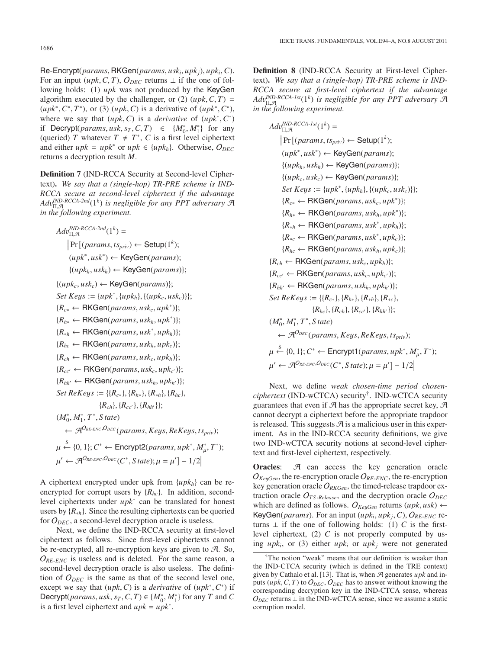Re-Encrypt(*params*, RKGen(*params*, *uski*, *upkj*), *upki*, *<sup>C</sup>*). For an input (*upk*, *C*, *T*),  $O_{DEC}$  returns  $\perp$  if the one of following holds: (1) *upk* was not produced by the KeyGen algorithm executed by the challenger, or (2)  $(\mu pk, C, T)$  =  $(\mu p k^*, C^*, T^*)$ , or (3)  $(\mu p k, C)$  is a derivative of  $(\mu p k^*, C^*)$ , where we say that  $(upk, C)$  is a *derivative* of  $(upk^*, C^*)$ if Decrypt(*params*, *usk*, *s*<sub>*T*</sub>, *C*, *T*) ∈ { $M_0^*$ ,  $M_1^*$ } for any (queried) *T* whatever *T* + *T*<sup>∗</sup> *C* is a first level cinhertext (queried) *T* whatever  $T \neq T^*$ , *C* is a first level ciphertext and either  $upk = upk^*$  or  $upk \in \{upk_h\}$ . Otherwise,  $O_{DEC}$ returns a decryption result *M*.

**Definition 7** (IND-RCCA Security at Second-level Ciphertext)**.** *We say that a (single-hop) TR-PRE scheme is IND-RCCA secure at second-level ciphertext if the advantage Ad*v*IND-RCCA-2nd* <sup>Π</sup>,<sup>A</sup> (1*k*) *is negligible for any PPT adversary* <sup>A</sup> *in the following experiment.*

 $Adv_{\Pi,\mathcal{A}}^{IND-RCCA-2nd}(1^k) =$  $\Pr[(params, ts_{priv}) \leftarrow \textsf{Setup}(1^k);$ (*upk*<sup>∗</sup> , *usk*<sup>∗</sup> ) ← KeyGen(*params*);  $\{(upk_h, usk_h) \leftarrow \text{KeyGen}(params)\};$  $\{(upk<sub>c</sub>, usk<sub>c</sub>) \leftarrow \textsf{KeyGen}(params)\};$ *Set Keys* :=  $\{upk^*, \{upk_h\}, \{(upk_c, usk_c)\}\};$  ${R<sub>c*</sub> ← RKGen(*params*, usk<sub>c</sub>, upk<sup>*</sup>)};$ {*Rh*<sup>∗</sup> <sup>←</sup> RKGen(*params*, *uskh*, *upk*<sup>∗</sup> )};  ${R}_{\ast h}$  ← RKGen(*params*, *usk*<sup>\*</sup>, *upk<sub>h</sub>*)};  ${R_{hc} \leftarrow \text{RKGen}(params, usk_h, upk_c)};$  ${R_{ch} \leftarrow \text{RKGen}(params, usk_c, upk_h)};$  ${R_{cc'} \leftarrow \mathsf{RKGen}(params, usk_c, upk_{c'})};$  ${R_{hh'} \leftarrow \text{RKGen}(params, usk_h, upk_{h'})};$ *Set ReKeys* := { ${R_{c*}}$ },  ${R_{h*}}$ },  ${R_{\ast h}}$ },  ${R_{hc}}$ },  ${R_{ch}}, {R_{cc'}}, {R_{hh'}}};$ (*M*<sup>∗</sup> <sup>0</sup>, *<sup>M</sup>*<sup>∗</sup> 1, *T*∗ , *S tate*)  $\leftarrow \mathcal{A}^{O_{RE-ENC}, O_{DEC}}(params, Keys, ReKeys, ts_{priv});$  $\mu' \leftarrow \mathcal{A}^{O_{RE-ENC}, O_{DEC}}(C^*, State); \mu = \mu'] - 1/2$  $\xi$  {0, 1}; *C*<sup>∗</sup> ← Encrypt2(*params*, *upk<sup>\*</sup>*,  $M^*_{\mu}$ ,  $T^*$ );

A ciphertext encrypted under upk from {*upkh*} can be reencrypted for corrupt users by {*Rhc*}. In addition, secondlevel ciphertexts under *upk*<sup>∗</sup> can be translated for honest users by {*R*∗*h*}. Since the resulting ciphertexts can be queried for  $O_{DEC}$ , a second-level decryption oracle is useless.

Next, we define the IND-RCCA security at first-level ciphertext as follows. Since first-level ciphertexts cannot be re-encrypted, all re-encryption keys are given to  $\mathcal{A}$ . So,  $O_{RE-ENC}$  is useless and is deleted. For the same reason, a second-level decryption oracle is also useless. The definition of  $O_{DEC}$  is the same as that of the second level one, except we say that  $(\mu p k, C)$  is a *derivative* of  $(\mu p k^*, C^*)$  if Decrypt(*params*, *usk*, *s<sub>T</sub>*, *C*, *T*)  $\in \{M_0^*, M_1^*\}$  for any *T* and *C* is a first level cinherent and *unk*  $-$  *unk*<sup>\*</sup> is a first level ciphertext and  $upk = upk^*$ .

**Definition 8** (IND-RCCA Security at First-level Ciphertext)**.** *We say that a (single-hop) TR-PRE scheme is IND-RCCA secure at first-level ciphertext if the advantage Ad*v*IND-RCCA-1st* <sup>Π</sup>,<sup>A</sup> (1*k*) *is negligible for any PPT adversary* <sup>A</sup> *in the following experiment.*

*Ad*v *IND-RCCA-1st* <sup>Π</sup>,<sup>A</sup> (1*<sup>k</sup>* ) =  Pr (*params*, *tspriv*) <sup>←</sup> Setup(1*<sup>k</sup>* ); (*upk*<sup>∗</sup> , *usk*<sup>∗</sup> ) ← KeyGen(*params*); {(*upkh*, *uskh*) <sup>←</sup> KeyGen(*params*)}; {(*upkc*, *uskc*) <sup>←</sup> KeyGen(*params*)}; *Set Ke*y*<sup>s</sup>* :<sup>=</sup> {*upk*<sup>∗</sup> , {*upkh*}, {(*upkc*, *uskc*)}}; {*Rc*<sup>∗</sup> <sup>←</sup> RKGen(*params*, *uskc*, *upk*<sup>∗</sup> )}; {*Rh*<sup>∗</sup> <sup>←</sup> RKGen(*params*, *uskh*, *upk*<sup>∗</sup> )}; {*R*∗*<sup>h</sup>* <sup>←</sup> RKGen(*params*, *usk*<sup>∗</sup> , *upkh*)}; {*R*∗*<sup>c</sup>* <sup>←</sup> RKGen(*params*, *usk*<sup>∗</sup> , *upkc*)}; {*Rhc* <sup>←</sup> RKGen(*params*, *uskh*, *upkc*)}; {*Rch* <sup>←</sup> RKGen(*params*, *uskc*, *upkh*)}; {*Rcc* <sup>←</sup> RKGen(*params*, *uskc*, *upkc* )}; {*Rhh* <sup>←</sup> RKGen(*params*, *uskh*, *upkh* )}; *Set ReKe*y*<sup>s</sup>* :<sup>=</sup> {{*Rc*∗}, {*Rh*∗}, {*R*∗*h*}, {*R*∗*c*}, {*Rhc*}, {*Rch*}, {*Rcc* }, {*Rhh* }}; (*M*<sup>∗</sup> <sup>0</sup>, *<sup>M</sup>*<sup>∗</sup> 1, *T*∗ , *S tate*) ← AO*DEC* (*params*, *Ke*y*s*, *ReKe*y*s*, *tspriv*); μ \$ ← {0, <sup>1</sup>};*C*<sup>∗</sup> <sup>←</sup> Encrypt1(*params*, *upk*<sup>∗</sup> , *M*∗ μ, *T*∗ ); μ ← AO*RE-ENC*,O*DEC* (*C*<sup>∗</sup> , *S tate*); μ <sup>=</sup> μ <sup>−</sup> <sup>1</sup>/<sup>2</sup> 

Next, we define *weak chosen-time period chosenciphertext* (IND-wCTCA) security†. IND-wCTCA security guarantees that even if  $A$  has the appropriate secret key,  $A$ cannot decrypt a ciphertext before the appropriate trapdoor is released. This suggests  $\mathcal{A}$  is a malicious user in this experiment. As in the IND-RCCA security definitions, we give two IND-wCTCA security notions at second-level ciphertext and first-level ciphertext, respectively.

**Oracles:**  $\mathcal{A}$  can access the key generation oracle  $O_{KeyGen}$ , the re-encryption oracle  $O_{RE-ENC}$ , the re-encryption key generation oracle  $O_{RKGen}$ , the timed-release trapdoor extraction oracle  $O_{TS\text{-}Release}$ , and the decryption oracle  $O_{DEC}$ which are defined as follows.  $O_{KeyGen}$  returns  $(\mu pk, \mu sk) \leftarrow$ KeyGen(*params*). For an input ( $upk_i, upk_j, C$ ),  $O_{RE-ENC}$  returns  $\perp$  if the one of following holds: (1) *C* is the firstlevel ciphertext, (2) *C* is not properly computed by using  $upk_i$ , or (3) either  $upk_i$  or  $upk_j$  were not generated

<sup>†</sup>The notion "weak" means that our definition is weaker than the IND-CTCA security (which is defined in the TRE context) given by Cathalo et al. [13]. That is, when A generates *upk* and inputs  $(\mu p k, C, T)$  to  $O_{DEC}$ ,  $O_{DEC}$  has to answer without knowing the corresponding decryption key in the IND-CTCA sense, whereas  $O_{DEC}$  returns  $\perp$  in the IND-wCTCA sense, since we assume a static corruption model.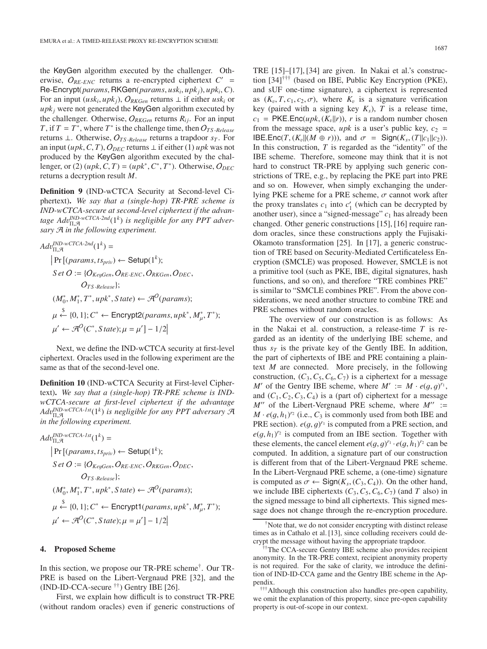the KeyGen algorithm executed by the challenger. Otherwise,  $O_{RE-ENC}$  returns a re-encrypted ciphertext  $C'$  = Re-Encrypt(*params*, RKGen(*params*, *uski*, *upkj*), *upki*, *<sup>C</sup>*). For an input ( $usk_i, upk_j$ ),  $O_{RKGen}$  returns  $\perp$  if either  $usk_i$  or  $upk<sub>i</sub>$  were not generated the KeyGen algorithm executed by the challenger. Otherwise,  $O_{RKGen}$  returns  $R_{ij}$ . For an input *T*, if  $T = T^*$ , where  $T^*$  is the challenge time, then  $O_{TS\text{-}Release}$ returns ⊥. Otherwise, O*TS* -*Release* returns a trapdoor *sT* . For an input ( $upk$ , *C*, *T*),  $O_{DEC}$  returns  $\perp$  if either (1)  $upk$  was not produced by the KeyGen algorithm executed by the challenger, or (2)  $(\mu pk, C, T) = (\mu pk^*, C^*, T^*)$ . Otherwise,  $O_{DEC}$ returns a decryption result *M*.

**Definition 9** (IND-wCTCA Security at Second-level Ciphertext)**.** *We say that a (single-hop) TR-PRE scheme is IND-wCTCA-secure at second-level ciphertext if the advantage Adv<sup>IND-wCTCA-2nd*(1*k*) *is negligible for any PPT adver-*<br>sary *A* in the following experiment</sup> *sary* A *in the following experiment.*

$$
Adv_{\Pi,\mathcal{A}}^{IND\text{-}wCTCA-2nd}(1^k) =
$$
\n
$$
|Pr[(params, ts_{priv}) \leftarrow Setup(1^k);
$$
\n
$$
Set O := \{O_{KeyGen}, O_{RE-ENC}, O_{RKGen}, O_{DEC},
$$
\n
$$
O_{TS\text{-}Release}\};
$$
\n
$$
(M_0^*, M_1^*, T^*, upk^*, State) \leftarrow \mathcal{A}^O(params);
$$
\n
$$
\mu \stackrel{\$}{\leftarrow} \{0, 1\}; C^* \leftarrow \text{Encrypt2}(params, upk^*, M_\mu^*, T^*);
$$
\n
$$
\mu' \leftarrow \mathcal{A}^O(C^*, State); \mu = \mu' \} - 1/2
$$

Next, we define the IND-wCTCA security at first-level ciphertext. Oracles used in the following experiment are the same as that of the second-level one.

**Definition 10** (IND-wCTCA Security at First-level Ciphertext)**.** *We say that a (single-hop) TR-PRE scheme is INDwCTCA-secure at first-level ciphertext if the advantage Adv<sup>IND-wCTCA-1st*(1<sup>k</sup>) is negligible for any PPT adversary A<br>in the following experiment</sup> *in the following experiment.*

$$
Adv_{\Pi,\mathcal{A}}^{IND\text{-}wCTCA\text{-}1st}(1^k) =
$$
\n
$$
|Pr[(params, ts_{priv}) \leftarrow Setup(1^k);
$$
\n
$$
Set O := \{O_{KeyGen}, O_{RE-ENC}, O_{RKGen}, O_{DEC},
$$
\n
$$
O_{TS\text{-}Release}|;
$$
\n
$$
(M_0^*, M_1^*, T^*, upk^*, State) \leftarrow \mathcal{A}^O(params);
$$
\n
$$
\mu \leftarrow \{0, 1\}; C^* \leftarrow \text{Encrypt1}(params, upk^*, M_{\mu}^*, T^*);
$$
\n
$$
\mu' \leftarrow \mathcal{A}^O(C^*, State); \mu = \mu' - 1/2
$$

#### **4. Proposed Scheme**

In this section, we propose our TR-PRE scheme†. Our TR-PRE is based on the Libert-Vergnaud PRE [32], and the  $(IND-ID-CCA\text{-}secure \text{ }^{\dagger\dagger})$  Gentry IBE [26].

First, we explain how difficult is to construct TR-PRE (without random oracles) even if generic constructions of TRE [15]–[17], [34] are given. In Nakai et al.'s construction [34]††† (based on IBE, Public Key Encryption (PKE), and sUF one-time signature), a ciphertext is represented as  $(K_v, T, c_1, c_2, \sigma)$ , where  $K_v$  is a signature verification key (paired with a signing key  $K_s$ ),  $T$  is a release time,  $c_1$  = PKE.Enc(*upk*, ( $K_v$ ||*r*)), *r* is a random number chosen from the message space,  $upk$  is a user's public key,  $c_2$  = IBE.Enc(*T*,  $(K_v||(M \oplus r))$ ), and  $\sigma = \text{Sign}(K_s, (T||c_1||c_2))$ . In this construction, *T* is regarded as the "identity" of the IBE scheme. Therefore, someone may think that it is not hard to construct TR-PRE by applying such generic constrictions of TRE, e.g., by replacing the PKE part into PRE and so on. However, when simply exchanging the underlying PKE scheme for a PRE scheme,  $\sigma$  cannot work after the proxy translates  $c_1$  into  $c'_1$  (which can be decrypted by another user), since a "signed-message" *c*<sup>1</sup> has already been changed. Other generic constructions [15], [16] require random oracles, since these constructions apply the Fujisaki-Okamoto transformation [25]. In [17], a generic construction of TRE based on Security-Mediated Certificateless Encryption (SMCLE) was proposed. However, SMCLE is not a primitive tool (such as PKE, IBE, digital signatures, hash functions, and so on), and therefore "TRE combines PRE" is similar to "SMCLE combines PRE". From the above considerations, we need another structure to combine TRE and PRE schemes without random oracles.

The overview of our construction is as follows: As in the Nakai et al. construction, a release-time *T* is regarded as an identity of the underlying IBE scheme, and thus  $s_T$  is the private key of the Gently IBE. In addition, the part of ciphertexts of IBE and PRE containing a plaintext *M* are connected. More precisely, in the following construction,  $(C_3, C_5, C_6, C_7)$  is a ciphertext for a message *M'* of the Gentry IBE scheme, where  $M' := M \cdot e(g, g)^{r_1}$ , and  $(C_1, C_2, C_3)$  is a (part of) cinhertext for a message and  $(C_1, C_2, C_3, C_4)$  is a (part of) ciphertext for a message  $M''$  of the Libert-Vergnaud PRE scheme, where  $M'' :=$  $M \cdot e(g, h_1)^{r_2}$  (i.e.,  $C_3$  is commonly used from both IBE and<br>**PRE** section  $e(g, g)^{r_1}$  is computed from a PRE section, and PRE section).  $e(g, g)^{r_1}$  is computed from a PRE section, and  $e(g, h, Y_1^2)$  is computed from an IRE section. Together with  $e(g, h_1)^{r_2}$  is computed from an IBE section. Together with these elements the cancel element  $e(g, a)^{r_1} \cdot e(g, h_1)^{r_2}$  can be these elements, the cancel element  $e(g, g)^{r_1} \cdot e(g, h_1)^{r_2}$  can be computed. In addition, a signature part of our construction computed. In addition, a signature part of our construction is different from that of the Libert-Vergnaud PRE scheme. In the Libert-Vergnaud PRE scheme, a (one-time) signature is computed as  $\sigma \leftarrow$  Sign( $K_s$ , ( $C_3$ ,  $C_4$ )). On the other hand, we include IBE ciphertexts  $(C_3, C_5, C_6, C_7)$  (and *T* also) in the signed message to bind all ciphertexts. This signed message does not change through the re-encryption procedure.

<sup>†</sup>Note that, we do not consider encrypting with distinct release times as in Cathalo et al. [13], since colluding receivers could decrypt the message without having the appropriate trapdoor.

<sup>††</sup>The CCA-secure Gentry IBE scheme also provides recipient anonymity. In the TR-PRE context, recipient anonymity property is not required. For the sake of clarity, we introduce the definition of IND-ID-CCA game and the Gentry IBE scheme in the Appendix.

<sup>†††</sup>Although this construction also handles pre-open capability, we omit the explanation of this property, since pre-open capability property is out-of-scope in our context.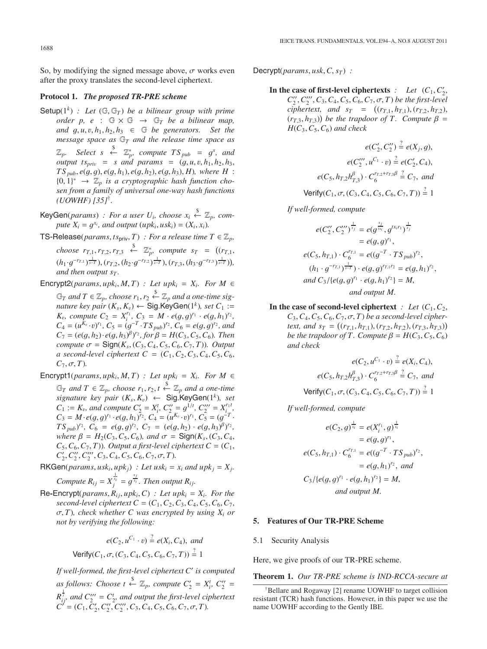So, by modifying the signed message above,  $\sigma$  works even after the proxy translates the second-level ciphertext.

## **Protocol 1.** *The proposed TR-PRE scheme*

- Setup( $1^k$ ) *: Let* ( $\mathbb{G}, \mathbb{G}_T$ ) *be a bilinear group with prime order p, e* :  $G \times G \rightarrow G_T$  *be a bilinear map, and*  $g, u, v, h_1, h_2, h_3 \in \mathbb{G}$  *be generators.* Set the *message space as* G*<sup>T</sup> and the release time space as*  $\mathbb{Z}_p$ . Select *s* ←  $\mathbb{Z}_p^*$ , compute  $TS_{pub} = g^s$ , and<br>output *ts*  $\cdot$  = *s* and params = (a u u b, b, b, *output ts<sub>priv</sub>* = *s* and params =  $(g, u, v, h_1, h_2, h_3,$  $TS_{pub}, e(g, g), e(g, h_1), e(g, h_2), e(g, h_3), H)$ *, where H* :  ${0, 1}^* \rightarrow \mathbb{Z}_p$  *is a cryptographic hash function chosen from a family of universal one-way hash functions sen from a family of universal one-way hash functions (UOWHF) [35]*†*.*
- KeyGen(*params*) *: For a user*  $U_i$ , *choose*  $x_i \stackrel{\$}{\leftarrow} \mathbb{Z}_p$ , *compute*  $X_i = g^{x_i}$ *, and output*  $(\mu p k_i, \mu s k_i) = (X_i, x_i)$ .
- TS-Release( $params, ts_{priv}, T$ ) *: For a release time*  $T \in \mathbb{Z}_p$ ,
	- *choose*  $r_{T,1}$ ,  $r_{T,2}$ ,  $r_{T,3} \leftarrow \mathbb{Z}_p^*$ , *compute*  $s_T = ((r_{T,1},$  $(h_1 \cdot g^{-r_{T,1}})_{s=1}^{\frac{1}{s-T}}), (r_{T,2}, (h_2 \cdot g^{-r_{T,2}})_{s=1}^{\frac{1}{s-T}}), (r_{T,3}, (h_3 \cdot g^{-r_{T,3}})_{s=T}^{\frac{1}{s-T}})),$ <br>and then output s<sub>π</sub> *and then output s<sub>T</sub>*.
- Encrypt2(*params*,  $upk_i$ ,  $M$ ,  $T$ ) *: Let upk<sub>i</sub>* =  $X_i$ . For  $M \in$  $\mathbb{G}_T$  and  $T \in \mathbb{Z}_p$ , choose  $r_1, r_2 \stackrel{\$}{\leftarrow} \mathbb{Z}_p$  and a one-time sig-<br>pature key pair  $(K - K) \leftarrow$  Sin KeyGen(1<sup>k</sup>), set  $C_1 \leftarrow$ *nature key pair*  $(K_s, K_v) \leftarrow$  Sig.KeyGen(1<sup>k</sup>)*, set*  $C_1 :=$ *K*<sub>v</sub>, compute  $C_2 = X_i^{r_1}$ ,  $C_3 = M \cdot e(g, g)^{r_1} \cdot e(g, h_1)^{r_2}$ ,  $C_4 = (u^{K_2}, v)^{r_1}$ ,  $C_5 = (g^{-T} \cdot TS, v^{r_2})$ ,  $C_6 = e(g, g)^{r_2}$ , and  $C_4 = (u^{K_2} \cdot v)^{r_1}, C_5 = (g^{-T} \cdot TS_{pub})^{r_2}, C_6 = e(g, g)^{r_2}, and$ <br>  $C_7 = (e(g, h_2) \cdot e(g, h_2)^{\beta})^{r_2}$  for  $B = H(C_2, C_5, C_6)$  Then  $C_7 = (e(g, h_2) \cdot e(g, h_3)^{\beta})^r$ , for  $\beta = H(C_3, C_5, C_6)$ . Then<br>*compute*  $\sigma =$  Sign(*K*) (*C*<sub>2</sub>, *C*<sub>4</sub>, *C*<sub>4</sub>, *C*<sub>4</sub>, *C*<sub>4</sub>, *C*<sub>4</sub>, *C*<sub>4</sub>, *C*<sub>4</sub>, *C*<sub>4</sub> *compute*  $\sigma =$  Sign( $K_s$ , ( $C_3$ ,  $C_4$ ,  $C_5$ ,  $C_6$ ,  $C_7$ , *T*))*. Output a* second-level ciphertext  $C = (C_1, C_2, C_3, C_4, C_5, C_6,$  $C_7, \sigma, T$ *).*
- Encrypt1( $params, upk_i, M, T$ ) *: Let upk<sub>i</sub>* =  $X_i$ . For  $M \in$  $\mathbb{G}_T$  *and*  $T \in \mathbb{Z}_p$ , choose  $r_1, r_2, t \stackrel{\$}{\leftarrow} \mathbb{Z}_p$  *and a one-time*<br>signature key pair  $(K \mid K) \leftarrow$  Sig KeyGen(1<sup>k</sup>) set *signature key pair* (*Ks*, *<sup>K</sup>*v) <sup>←</sup> Sig.KeyGen(1*k*)*, set C*<sub>1</sub> := *K*<sub>v</sub>, and compute C'<sub>2</sub> = *X*<sup>t</sup><sub>i</sub></sub>, *C'<sub>2</sub><sup><i>z*</sup> = *g*<sup>1*t*</sup>, *C'<sub>2</sub><sup><i>z*</sup> = *X*<sub>i</sub><sup>t</sup>, *C*<sub>2</sub>*z* = *C*<sub>*i*</sub>*z*<sup>*T*</sup>, *C*<sub>2</sub>*z* = *C*<sub>*i*</sub>*z*<sup>*T*</sup>, *C*<sub>2</sub>*z* = *C*<sub>*i*</sub>*z*<sup>*T*</sup>, *C*<sub>2</sub>*z* = *C*<sub>*i*</sub>*Z*<sub>*F*</sub>  $C_3 = M \cdot e(g, g)^{r_1} \cdot e(g, h_1)^{r_2}, C_4 = (u^{K_0} \cdot v)^{r_1}, C_5 = (g^{-T} \cdot g)^{r_2}, C_6 = e(g, g)^{r_2}, C_7 = e(g, h_2) \cdot e(g, h_2)^{r_2}$  $TS_{pub}$ )<sup>*r*</sup>2,  $C_6 = e(g, g)^{r_2}$ ,  $C_7 = (e(g, h_2) \cdot e(g, h_3)^{\beta})^{r_2}$ , where  $B - H_2(C_2, C_3)$  and  $\sigma =$  **Sign(K**, (C<sub>2</sub>C<sub>4</sub>) *where*  $β = H_2(C_3, C_5, C_6)$ *, and*  $σ = \text{Sign}(K_s, (C_3, C_4, C_5))$  $C_5$ ,  $C_6$ ,  $C_7$ ,  $T$ )). Output a first-level ciphertext  $C = (C_1, C_2)$  $C_2', C_2'', C_2'', C_3, C_4, C_5, C_6, C_7, \sigma, T$ ).
- RKGen(*params*,  $usk_i, upk_j)$  *: Let usk<sub>i</sub>* =  $x_i$  *and upk<sub>j</sub>* =  $X_j$ . *Compute*  $R_{ij} = X_j^{\frac{1}{x_i}} = g^{\frac{x_j}{x_i}}$ . *Then output*  $R_{ij}$ .
- $\text{Re-Encrypt}(params, R_{ij}, upk_i, C)$  *: Let upk<sub>i</sub>* =  $X_i$ *. For the second-level ciphertext*  $C = (C_1, C_2, C_3, C_4, C_5, C_6, C_7,$ σ, *<sup>T</sup>*)*, check whether C was encrypted by using Xi or not by verifying the following:*

$$
e(C_2, u^{C_1} \cdot v) \stackrel{?}{=} e(X_i, C_4), \text{ and}
$$
  
Verify $(C_1, \sigma, (C_3, C_4, C_5, C_6, C_7, T)) \stackrel{?}{=} 1$ 

*If well-formed, the first-level ciphertext C is computed as follows:* Choose  $t \stackrel{\$}{\leftarrow} \mathbb{Z}_p$ , compute  $C'_2 = X_i^t$ ,  $C''_2 =$  $R_{ij}^{\frac{1}{7}}$  and  $C_{2}''' = C_{2}^{t}$ , and output the first-level ciphertext  $C' = (C_1, \overline{C'_2}, C''_2, C'''_2, C'''_3, C_4, C_5, C_6, C_7, \sigma, T).$ 

 $Decrypt(*params*, *usk*, *C*, *s*)$ :

In the case of first-level ciphertexts  $\therefore$  Let  $(C_1, C'_2,$  $C_2^{\prime\prime}, C_2^{\prime\prime}, C_3, C_4, C_5, C_6, C_7, \sigma, T$ ) be the first-level<br>cinhertext, and  $s_x = ((r_{x1}, h_{x1}) (r_{x2}, h_{x3}))$ *ciphertext, and s<sub>T</sub>* =  $((r_{T,1}, h_{T,1}), (r_{T,2}, h_{T,2}), (r_{T,2}, h_{T,2}))$  be the trandoor of T. Compute  $\beta$  –  $(r_{T,3}, h_{T,3})$  be the trapdoor of T. Compute  $\beta = H(C_2, C_3)$  and check  $H(C_3, C_5, C_6)$  *and check* 

$$
e(C'_2, C''_2) \stackrel{?}{=} e(X_j, g),
$$
  
\n
$$
e(C''_2, u^{C_1} \cdot v) \stackrel{?}{=} e(C'_2, C_4),
$$
  
\n
$$
e(C_5, h_{T,2}h_{T,3}^{\beta}) \cdot C_6^{r_{T,2} + r_{T,3}\beta} \stackrel{?}{=} C_7,
$$
 and  
\nVerify $(C_1, \sigma, (C_3, C_4, C_5, C_6, C_7, T)) \stackrel{?}{=} 1$ 

*If well-formed, compute*

$$
e(C''_2, C'''_2)^{\frac{1}{x_j}} = e(g^{\frac{x_j}{tx_i}}, g^{tx_ir_1})^{\frac{1}{x_j}}
$$
  
\n
$$
= e(g, g)^{r_1},
$$
  
\n
$$
e(C_5, h_{T,1}) \cdot C_6^{r_{T,1}} = e((g^{-T} \cdot TS_{pub})^{r_2},
$$
  
\n
$$
(h_1 \cdot g^{-r_{T,1}})^{\frac{1}{s-T}}) \cdot e(g, g)^{r_{T,1}r_2} = e(g, h_1)^{r_2},
$$
  
\nand  $C_3/\{e(g, g)^{r_1} \cdot e(g, h_1)^{r_2}\} = M,$   
\nand output M.

In the case of second-level ciphertext  $\therefore$  Let  $(C_1, C_2,$  $C_3, C_4, C_5, C_6, C_7, \sigma, T$  *be a second-level cipher*text, and  $s_T = ((r_{T,1}, h_{T,1}), (r_{T,2}, h_{T,2}), (r_{T,3}, h_{T,3}))$ <br>be the trandoor of T. Compute  $\beta = H(C_2, C_3, C_4)$ *be the trapdoor of T. Compute*  $\beta = H(C_3, C_5, C_6)$ *and check*

$$
e(C_2, u^{C_1} \cdot v) \stackrel{?}{=} e(X_i, C_4),
$$
  
\n
$$
e(C_5, h_{T,2}h_{T,3}^{\beta}) \cdot C_6^{r_{T,2}+r_{T,3}\beta} \stackrel{?}{=} C_7, \text{ and}
$$
  
\nVerify $(C_1, \sigma, (C_3, C_4, C_5, C_6, C_7, T)) \stackrel{?}{=} 1$ 

*If well-formed, compute*

$$
e(C_2, g)^{\frac{1}{x_i}} = e(X_i^{r_1}, g)^{\frac{1}{x_i}}
$$
  
=  $e(g, g)^{r_1}$ ,  

$$
e(C_5, h_{T,1}) \cdot C_6^{r_{T,1}} = e((g^{-T} \cdot TS_{pub})^{r_2},
$$
  
=  $e(g, h_1)^{r_2}$ , and  

$$
C_3 / \{e(g, g)^{r_1} \cdot e(g, h_1)^{r_2}\} = M,
$$
  
and output M.

#### **5. Features of Our TR-PRE Scheme**

#### 5.1 Security Analysis

Here, we give proofs of our TR-PRE scheme.

**Theorem 1.** *Our TR-PRE scheme is IND-RCCA-secure at*

<sup>†</sup>Bellare and Rogaway [2] rename UOWHF to target collision resistant (TCR) hash functions. However, in this paper we use the name UOWHF according to the Gently IBE.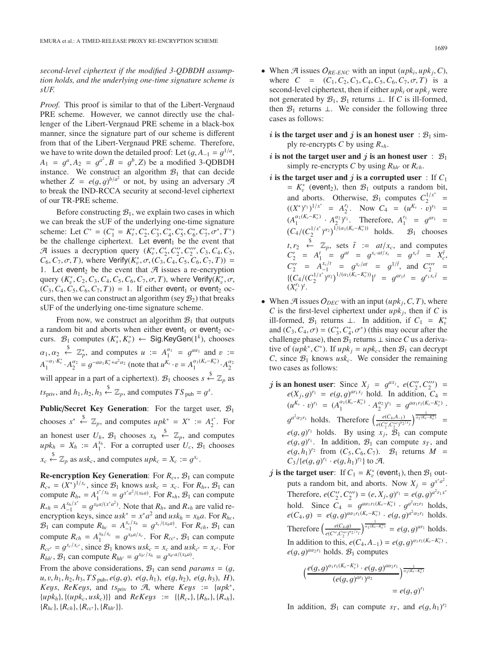*second-level ciphertext if the modified 3-QDBDH assumption holds, and the underlying one-time signature scheme is sUF.*

*Proof.* This proof is similar to that of the Libert-Vergnaud PRE scheme. However, we cannot directly use the challenger of the Libert-Vergnaud PRE scheme in a black-box manner, since the signature part of our scheme is different from that of the Libert-Vergnaud PRE scheme. Therefore, we have to write down the detailed proof: Let  $(q, A_{-1} = q^{1/a},$  $A_1 = g^a, A_2 = g^{a^2}, B = g^b, Z$  be a modified 3-QDBDH instance. We construct an algorithm  $B_1$ , that can decide instance. We construct an algorithm  $\mathcal{B}_1$  that can decide whether  $Z = e(g, g)^{b/a^2}$  or not, by using an adversary  $\mathcal{A}$ <br>to break the IND-RCCA security at second-level cinhertext to break the IND-RCCA security at second-level ciphertext of our TR-PRE scheme.

Before constructing  $B_1$ , we explain two cases in which we can break the sUF of the underlying one-time signature scheme: Let  $C^* = (C_1^* = K_v^*, C_2^*, C_3^*, C_4^*, C_5^*, C_6^*, C_7^*, \sigma^*, T^*)$ <br>be the challenge cinhertext. Let event, be the event that be the challenge ciphertext. Let event<sub>1</sub> be the event that A issues a decryption query  $(K_0^*, C_2', C_2'', C_2'', C_3, C_4, C_5, C_6, C_7, T)$  where *Nerify(K<sup>\*</sup>,*  $\sigma$ *, C<sub>2</sub>, C<sub>2</sub>, C<sub>2</sub>, C<sub>2</sub>, C<sub>2</sub>, T<sub>3</sub>) –*  $C_6, C_7, \sigma, T$ ), where Verify( $K_e^*, \sigma, (C_3, C_4, C_5, C_6, C_7, T)$ ) = 1 Let events be the event that  $\mathcal{A}$  issues a re-encryption 1. Let event<sub>2</sub> be the event that  $A$  issues a re-encryption query  $(K_v^*, C_2, C_3, C_4, C_5, C_6, C_7, \sigma, T)$ , where Verify $(K_v^*, C_6, C_7, C_7, T)$  + 1. If either events or events  $(C_3, C_4, C_5, C_6, C_7, T) = 1$ . If either event<sub>1</sub> or event<sub>2</sub> oc-<br>curs then we can construct an algorithm (sey B<sub>0</sub>) that breaks curs, then we can construct an algorithm (sey  $B_2$ ) that breaks sUF of the underlying one-time signature scheme.

From now, we construct an algorithm  $\mathcal{B}_1$  that outputs a random bit and aborts when either event<sub>1</sub> or event<sub>2</sub> occurs.  $\mathcal{B}_1$  computes  $(K_s^*, K_v^*) \leftarrow$  Sig.KeyGen(1<sup>k</sup>), chooses  $\alpha_1, \alpha_2$ <br> $\alpha_1 \cdot k$  $\alpha_1, \alpha_2 \stackrel{\$}{\leftarrow} \mathbb{Z}_p^*$ , and computes  $u := A_1^{\alpha_1} = g^{a\alpha_1}$  and  $v := A_1^{-\alpha_1 \cdot K_v^*} \cdot A_2^{\alpha_2} = g^{-a\alpha_1 K_v^* + a^2 \alpha_2}$  (note that  $u^{K_v} \cdot v = A_1^{\alpha_1 (K_v - K_v^*)} \cdot A_2^{\alpha_2}$ will appear in a part of a ciphertext).  $\mathcal{B}_1$  chooses  $s \stackrel{\$}{\leftarrow} \mathbb{Z}_p$  as  $ts_{\text{priv}}$ , and  $h_1, h_2, h_3 \stackrel{\$}{\leftarrow} \mathbb{Z}_p$ , and computes  $TS_{\text{pub}} = g^s$ .

**Public/Secret Key Generation:** For the target user,  $B_1$ chooses  $x^* \stackrel{\$}{\leftarrow} \mathbb{Z}_p$ , and computes  $upk^* = X^* := A_2^{x^*}$ . For an honest user  $U_h$ ,  $\mathcal{B}_1$  chooses  $x_h \stackrel{\$}{\leftarrow} \mathbb{Z}_p$ , and computes  $upk_h = X_h := A_1^{x_h}$ . For a corrupted user  $U_c$ ,  $B_1$  chooses  $x_c \stackrel{\$}{\leftarrow} \mathbb{Z}_p$  as  $usk_c$ , and computes  $upk_c = X_c := g^{x_c}$ .

**Re-encryption Key Generation**: For  $R_{c*}$ ,  $\mathcal{B}_1$  can compute  $R_{c*} = (X^*)^{1/x_c}$ , since  $\mathcal{B}_1$  knows  $usk_c = x_c$ . For  $R_{h*}$ ,  $\mathcal{B}_1$  can compute  $R_{h*} = A_1^{x^*/x_h} = g^{x^*a^2/(x_ha)}$ . For  $R_{*h}$ ,  $B_1$  can compute  $R_{\ast h} = A_{-1}^{x_h/x^*} = g_{x_h}^{x_h a/(x^* a^2)}$ . Note that  $R_{h\ast}$  and  $R_{\ast h}$  are valid re-<br>encryption keys, since  $\mu s k^* = x^* a^2$  and  $\mu s k_x = x_k a$ . For  $R_k$ encryption keys, since  $usk^* = x^*a^2$  and  $usk_h = x_ha$ . For  $R_{hc}$ ,  $\mathcal{B}_1$  can compute  $R_{hc} = A_{-1}^{x_c/x_h} = g_{c}^{x_c/(x_h a)}$ . For  $R_{ch}$ ,  $\mathcal{B}_1$  can compute  $R_{ch} = A_1^{x_h/x_c} = g^{x_h a/x_c}$ . For  $R_{cc}$ ,  $B_1$  can compute  $B = \frac{g^{x_h/x_c}}{g^{x_h}}$  ince  $B_2$ , knows usk  $\pi$  and usk  $\pi$  x. For  $R_{cc'} = g^{x_c/x_{c'}}$ , since  $B_1$  knows  $u s k_c = x_c$  and  $u s k_{c'} = x_{c'}$ . For  $R_{\perp \perp}$ ,  $R_{\perp}$  can compute  $R_{\perp \perp} = a^{x_{h'}/x_h} = a^{x_{h'}a/(x_h a)}$  $R_{hh'}$ ,  $B_1$  can compute  $R_{hh'} = g^{x_{h'}/x_h} = g^{x_{h'}a/(x_h a)}$ .

From the above considerations,  $B_1$  can send *params* =  $(q,$  $u, v, h_1, h_2, h_3, TS_{\text{pub}}, e(g, g), e(g, h_1), e(g, h_2), e(g, h_3), H$ *Keys*, *ReKeys*, and  $ts_{\text{priv}}$  to A, where *Keys* := {*upk<sup>\*</sup>*,  $\{upk_h\}, \{(upk_c, usk_c)\}\}\$  and  $ReKeys := \{(R_{c*}), \{R_{h*}\}, \{R_{*h}\}\}\$  ${R_{hc}}, {R_{ch}}, {R_{cc'}}, {R_{hh'}}}.$ 

- When  $\mathcal{A}$  issues  $O_{RE\text{-}ENC}$  with an input  $(upk_i, upk_i, C)$ , where  $C = (C_1, C_2, C_3, C_4, C_5, C_6, C_7, \sigma, T)$  is a second-level ciphertext, then if either  $upk_i$  or  $upk_j$  were not generated by  $\mathcal{B}_1$ ,  $\mathcal{B}_1$  returns  $\perp$ . If *C* is ill-formed, then  $\mathcal{B}_1$  returns  $\perp$ . We consider the following three cases as follows:
	- *i* is the target user and *j* is an honest user :  $B_1$  simply re-encrypts *C* by using *R*∗*h*.
	- *i* is not the target user and *j* is an honest user :  $B_1$ simply re-encrypts *C* by using  $R_{hh'}$  or  $R_{ch}$ .
	- $i$  is the target user and  $j$  is a corrupted user : If  $C_1$  $= K_v^*$  (event<sub>2</sub>), then  $\mathcal{B}_1$  outputs a random bit, and aborts. Otherwise,  $\mathcal{B}_1$  computes  $C_2^{1/x^*}$  =  $((X^*)^{r_1})^{1/x^*} = A_2^{r_1}$ . Now  $C_4 = (u^{K_0} \cdot v)^{r_1} =$  $(A_1^{\alpha_1(K_v-K_v^*)} \cdot A_2^{\alpha_2})^{r_1}$ . Therefore,  $A_1^{r_1} = g^{ar_1} =$ <br> $(C_4/(C_2^{1/x^*})^{\alpha_2})^{1/(\alpha_1(K_v-K_v^*))}$  holds.  $\mathcal{B}_1$  chooses  $\left(C_4/(C_2^{1/x^*})^{\alpha_2}\right)^{\tilde{1}/(\alpha_1(K_v-K_v^*))}$  holds.  $\mathcal{B}_1$  chooses  $t, r_2 \leftarrow \mathbb{Z}_p$ , sets  $\tilde{t} := at/x_c$ , and computes<br>  $C'_2 = A'_1 = g^{at} = g^{x_c \cdot at/x_c} = g^{x_c \cdot \tilde{t}} = X_c^{\tilde{t}}$ ,<br>  $C'' = A_x^{x_c \cdot \tilde{t}} = e^{x_c \cdot at} = e^{i\int \tilde{t}}$  and  $C''' = t$  $C_2'' = A_{-1}^{x_c/t} = g^{x_c/dt} = g^{1/\tilde{t}}$ , and  $C_2''' =$ <br>  $C_2 = (C_1! (x^3 \sqrt{2})^{1/(x_1(K_c - K_c^*))})t$  $\{ (C_4/(C_2^{1/x^*})^{\alpha_2})^{1/(\alpha_1(K_v-K_v^*))} \}^t = g^{ar_1t} = g^{r_1x_c\tilde{t}} =$  $(X_c^{r_1})^t$ .
- When  $\mathcal{A}$  issues  $O_{DEC}$  with an input ( $upk_j, C, T$ ), where *C* is the first-level ciphertext under  $upk_j$ , then if *C* is ill-formed,  $\mathcal{B}_1$  returns ⊥. In addition, if  $C_1 = K_n^*$ and  $(C_3, C_4, \sigma) = (C_3^*, C_4^*, \sigma^*)$  (this may occur after the challenge phase) then  $\mathcal{R}_1$  returns  $\perp$  since  $C$  us a derivachallenge phase), then  $\mathcal{B}_1$  returns  $\perp$  since C us a derivative of  $(upk^*, C^*)$ . If  $upk_i = upk_c$ , then  $B_1$  can decrypt *C*, since  $\mathcal{B}_1$  knows *usk<sub>c</sub>*. We consider the remaining two cases as follows:
	- *j* **is an honest user**: Since  $X_j = g^{ax_j}$ ,  $e(C_2'', C_2''') =$ <br>  $e(X, g)^{r_1} = e(g, g)^{ar_1x_j}$  hold In addition  $C_1 =$  $e(X_j, g)^{r_1} = e(g, g)^{ar_1 x_j}$  hold. In addition,  $C_4 =$  $(u^{K_v} \cdot v)^{r_1} = (A_1^{\alpha_1(K_v - K_v^*)} \cdot A_2^{\alpha_2})^{r_1} = g^{a\alpha_1 r_1(K_v - K_v^*)}$  $g^{a^2a_2r_1}$  holds. Therefore  $\left(\frac{e(C_4, A_{-1})}{e(C_2^{\prime\prime}, C_2^{\prime\prime\prime})^{a_2/x_j}}\right)^{\frac{1}{a_1(K_0-K_0^*)}}$  $e(g, g)^{r_1}$  holds. By using  $x_j$ ,  $\mathcal{B}_1$  can compute  $e(g, g)^{r_1}$ . In addition  $\mathcal{B}_1$  can compute  $s_x$  and  $e(g, g)^{r_1}$ . In addition,  $B_1$  can compute  $s_T$ , and  $e(g, h_1)^{r_2}$  from  $(C_5, C_6)$ ,  $B_1$  returns  $M$  $e(g, h_1)^{r_2}$  from  $(C_5, C_6, C_7)$ .  $B_1$  returns  $M = C_2 / (e(g, g_1)^{r_1} + e(g, h_1)^{r_2})$  to  $\mathcal{A}$  $C_3 / \{e(g, g)^{r_1} \cdot e(g, h_1)^{r_2}\}$  to A.
	- *j* is the target user: If  $C_1 = K_v^*$  (event<sub>1</sub>), then  $\mathcal{B}_1$  out-<br>given a gardon bit and aboute. Now  $Y = e^{x^*a^2}$ puts a random bit, and aborts. Now  $X_j = g^{x^*a^2}$ .<br>Therefore,  $e(G'', G'') = (e, X, e)^{r_1} = e(g, e)^{a^2 r_1 x^*}$ . Therefore,  $e(C_2'', C_2''') = (e, X_j, g)^{r_1} = e(g, g)^{a^2 r_1 x^4}$ hold. Since  $C_4 = g^{a\alpha_1 r_1(K_v - K_v^*)} \cdot g^{a^2 \alpha_2 r_1}$  holds,<br> $e(C_4, a) = e(a, a)^{a\alpha_1 r_1(K_v - K_v^*)} \cdot e(a, a)^{a^2 \alpha_2 r_1}$  holds  $e(C_4, g) = e(g, g)^{a\alpha_1 r_1(K_v - K_v^*)} \cdot e(g, g)^{a^2 \alpha_2 r_1}$  holds. Therefore  $\left(\frac{e(C_4,g)}{e(C_4',g)(C_4',g)}\right)$  $\frac{e(C_4,g)}{e(C'',C'''_2)^{\alpha_2/x_j}}\frac{1}{\alpha_1(K_0-K_0^*)} = e(g,g)^{\alpha r_1}$  holds. In addition to this,  $e(C_4, A_{-1}) = e(g, g)^{\alpha_1 r_1(K_v - K_v^*)}$ .<br>*e*(*a*,  $a)^{\alpha_2 r_1}$  holds. *B*, computes  $e(g, g)^{a\alpha_2 r_1}$  holds.  $\mathcal{B}_1$  computes

$$
\left(\frac{e(g,g)^{\alpha_1 r_1(K_v-K_v^*)} \cdot e(g,g)^{\alpha \alpha_2 r_1}}{(e(g,g)^{\alpha r_1})^{\alpha_2}}\right)^{\frac{1}{\alpha_1(K_v-K_v^*)}}
$$
  
=  $e(g,g)^{r_1}$ 

In addition,  $\mathcal{B}_1$  can compute  $s_T$ , and  $e(g, h_1)^{r_2}$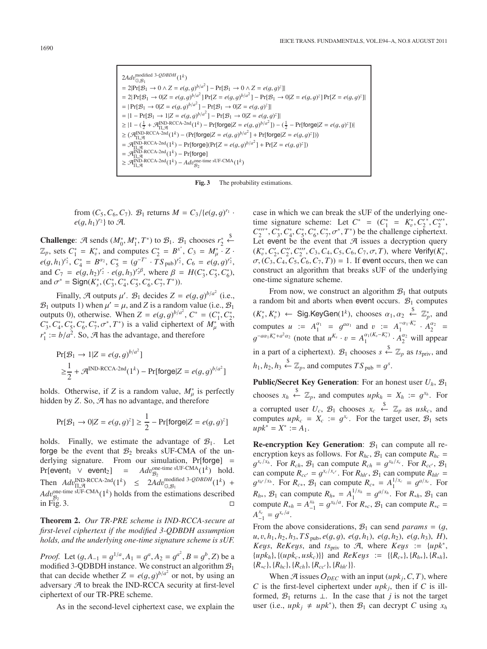$$
\begin{aligned} &2Adv_{\mathbb{G},\mathcal{B}_1}^{\text{modified 3-}QDBDH}(1^k)\\ &=2|\mathrm{Pr}[\mathcal{B}_1\rightarrow 0\land Z=e(g,g)^{b/a^2}]-\mathrm{Pr}[\mathcal{B}_1\rightarrow 0\land Z=e(g,g)^z]|\\ &=2|\,\mathrm{Pr}[\mathcal{B}_1\rightarrow 0|Z=e(g,g)^{b/a^2}]\,\mathrm{Pr}[Z=e(g,g)^{b/a^2}]-\mathrm{Pr}[\mathcal{B}_1\rightarrow 0|Z=e(g,g)^z]\,\mathrm{Pr}[Z=e(g,g)^y]|\\ &=|\,\mathrm{Pr}[\mathcal{B}_1\rightarrow 0|Z=e(g,g)^{b/a^2}]-\mathrm{Pr}[\mathcal{B}_1\rightarrow 0|Z=e(g,g)^z]|\\ &=|1-\mathrm{Pr}[\mathcal{B}_1\rightarrow 1|Z=e(g,g)^{b/a^2}]-\mathrm{Pr}[\mathcal{B}_1\rightarrow 0|Z=e(g,g)^z]|\\ &\geq |1-(\frac{1}{2}+\mathcal{A}_{\Pi,\mathcal{A}}^{\text{IND-RCCA-2nd}}(1^k)-\mathrm{Pr}[\text{torge}|Z=e(g,g)^{b/a^2}])-(\frac{1}{2}-\mathrm{Pr}[\text{torge}|Z=e(g,g)^z])|\\ &\geq (\mathcal{A}_{\Pi,\mathcal{A}}^{\text{IND-RCCA-2nd}}(1^k)-(\mathrm{Pr}[\text{torge}|Z=e(g,g)^{b/a^2}]+\mathrm{Pr}[\text{torge}|Z=e(g,g)^z]))\\ &=\mathcal{A}_{\Pi,\mathcal{A}}^{\text{IND-RCCA-2nd}}(1^k)-\mathrm{Pr}[\text{torge}|(\mathrm{Pr}[Z=e(g,g)^{b/a^2}]+\mathrm{Pr}[Z=e(g,g)^z])\\ &=\mathcal{A}_{\Pi,\mathcal{A}}^{\text{IND-RCCA-2nd}}(1^k)-\mathrm{Pr}[\text{torge}]\\ &\geq \mathcal{A}_{\Pi,\mathcal{A}}^{\text{IND-RCCA-2nd}}(1^k)-Adv_{\mathcal{B}_2}^{\text{one-time sUF-CMA}}(1^k) \end{aligned}
$$

**Fig. 3** The probability estimations.

from  $(C_5, C_6, C_7)$ .  $B_1$  returns  $M = C_3 / {e(g, g)^{r_1}} \cdot$ <br> $e(a, h_1)^{r_2}$  to  $\mathcal{A}$  $e(g, h_1)^{r_2}$  to A.

**Challenge:**  $\mathcal{A}$  sends  $(M_0^*, M_1^*, T^*)$  to  $\mathcal{B}_1$ .  $\mathcal{B}_1$  chooses  $r_2^*$ <br>  $\mathcal{A}$  sets  $C^* = K^*$  and computes  $C^* = R^{x^*}$ ,  $C_2 = M^*$ .  $\xleftarrow{s}$  $\mathbb{Z}_p$ , sets  $C_1^* = K_p^*$ , and computes  $C_2^* = B^{x^*}$ ,  $C_3 = M_p^* \cdot Z \cdot$  $e(g, h_1)^{r_2^*}, C_4^* = B^{\alpha_2}, C_5^* = (g^{-T^*} \cdot TS_{pub})^{r_2^*}, C_6 = e(g, g)^{r_2^*},$ and  $C_7 = e(g, h_2)^{r_2^*} \cdot e(g, h_3)^{r_2^* \beta}$ , where  $\beta = H(C_3^*, C_5^*, C_6^*)$ ,<br>and  $\sigma^* = \text{Sign}(K^* \cdot (C^* \cdot C^* \cdot C^* \cdot C^* \cdot T^*))$ and  $\sigma^* = \text{Sign}(K_s^*, (C_3^*, C_4^*, C_5^*, C_6^*, C_7^*, T^*)).$ 

Finally, A outputs  $\mu'$ .  $\mathcal{B}_1$  decides  $Z = e(g, g)^{b/a^2}$  (i.e., utputs 1) when  $\mu' = \mu$  and Z is a random value (i.e.  $\mathcal{B}_2$ )  $\mathcal{B}_1$  outputs 1) when  $\mu' = \mu$ , and *Z* is a random value (i.e.,  $\mathcal{B}_1$ ) outputs 0), otherwise. When  $Z = e(g, g)^{b/a^2}$ ,  $C^* = (C_1^*, C_2^*)^T$ ,  $C^* = (C_1^*, C_2^*)^T$ ,  $C^* = (C_1^*, C_2^*)^T$ , is a valid cinhertext of  $M^*$  with  $C_3$ ,  $C_4^*$ ,  $C_5^*$ ,  $C_6^*$ ,  $C_7^*$ ,  $\sigma^*$ ,  $T^*$ ) is a valid ciphertext of  $M^*_{\mu}$  with  $\sigma^* := h/a^2$ . So,  $\mathcal{A}$  has the advantage, and therefore.  $r_1^* := b/a^2$ . So,  $\mathcal{A}$  has the advantage, and therefore

$$
\Pr[\mathcal{B}_1 \to 1 | Z = e(g, g)^{b/a^2}]
$$
  
 
$$
\geq \frac{1}{2} + \mathcal{A}^{\text{IND-RCCA-2nd}}(1^k) - \Pr[\text{forget}|Z = e(g, g)^{b/a^2}]
$$

holds. Otherwise, if *Z* is a random value,  $M^*_{\mu}$  is perfectly hidden by *Z* So. *A* has no advantage, and therefore hidden by *Z*. So,  $\mathcal{A}$  has no advantage, and therefore

$$
\Pr[\mathcal{B}_1 \to 0 | Z = e(g, g)^z] \ge \frac{1}{2} - \Pr[\text{forge} | Z = e(g, g)^z]
$$

holds. Finally, we estimate the advantage of  $\mathcal{B}_1$ . Let forge be the event that  $B_2$  breaks sUF-CMA of the underlying signature. From our simulation, Pr[forge] =  $Pr[event_1 \lor event_2] = Adv_{\mathcal{B}_2}^{one-time \text{ sUF-CMA}}$  $Adv_{\mathcal{B}_2}^{\text{one-time sUF-CMA}}(1^k)$  hold. Then  $Adv_{\Pi, \mathcal{A}}^{\text{IND-RCCA-2nd}}(1^k) \leq 2Adv_{\Pi, \mathcal{B}}^{\text{modified 3-QDBDH}}(1^k) +$ <br>A d, one-time sUF-CMA(1<sup>k</sup>) halds from the originations described  $Adv_{\mathcal{B}_2}^{\text{one-time sUF-CMA}}(1^k)$  holds from the estimations described<br>in  $\overline{F}_{1\alpha}$  3 in  $\overline{Fig. 3}$ .  $\Box$ 

**Theorem 2.** *Our TR-PRE scheme is IND-RCCA-secure at first-level ciphertext if the modified 3-QDBDH assumption holds, and the underlying one-time signature scheme is sUF.*

*Proof.* Let  $(g, A_{-1} = g^{1/a}, A_1 = g^a, A_2 = g^{a^2}, B = g^b, Z$  be a modified 3-ODBDH instance. We construct an algorithm  $B_1$ . modified 3-QDBDH instance. We construct an algorithm  $B_1$ that can decide whether  $Z = e(g, g)^{b/a^2}$  or not, by using an adversary  $\mathcal{A}$  to break the IND-RCCA security at first-level adversary  $A$  to break the IND-RCCA security at first-level ciphertext of our TR-PRE scheme.

As in the second-level ciphertext case, we explain the

case in which we can break the sUF of the underlying onetime signature scheme: Let  $C^* = (C_1^* = K_v^*, C_2^*, C_2^*')$ <br> $C''''^* C^* C^* C^* C^* C^* T^*$  be the challenge ciphertext  $C_1'''$ ,  $C_2^*, C_3^*, C_4^*, C_5^*, C_6^*, C_7^*, \sigma^*, T^*$  be the challenge ciphertext. Let event be the event that  $\mathcal A$  issues a decryption query  $(K_v^*, C'_2, C''_2, C''_2, C_3, C_4, C_5, C_6, C_7, \sigma, T)$ , where Verify $(K_v^*, C'_3, C'_4, C'_5, C'_6, C'_7, T)$  + 1. If event occurs then we can  $\sigma$ ,  $(C_3, C_4, C_5, C_6, C_7, T) = 1$ . If event occurs, then we can construct an algorithm that breaks sUE of the underlying construct an algorithm that breaks sUF of the underlying one-time signature scheme.

From now, we construct an algorithm  $\mathcal{B}_1$  that outputs a random bit and aborts when event occurs.  $B_1$  computes  $(K_s^*, K_v^*) \leftarrow \text{Sig.KeyGen}(1^k)$ , chooses  $\alpha_1, \alpha_2 \stackrel{\$}{\leftarrow} \mathbb{Z}_p^*$ , and computes  $u := A_1^{\alpha_1} = g^{a\alpha_1}$  and  $v := A_1^{-\alpha_1 \cdot K_v^*}$  $A_1^{\alpha_1 \cdot \kappa_v} \cdot A_2^{\alpha_2} =$  $g^{-a\alpha_1 K_v^* + a^2\alpha_2}$  (note that  $u^{K_v} \cdot v = A_1^{\alpha_1(K_v - K_v^*)} \cdot A_2^{\alpha_2}$  will appear in a part of a ciphertext).  $\mathcal{B}_1$  chooses  $s \stackrel{\$}{\leftarrow} \mathbb{Z}_p$  as  $ts_{\text{priv}}$ , and  $h_1, h_2, h_3 \stackrel{\$}{\leftarrow} \mathbb{Z}_p$ , and computes  $TS_{\text{pub}} = g^s$ .

**Public/Secret Key Generation:** For an honest user  $U_h$ ,  $B_1$ chooses  $x_h \stackrel{\$}{\leftarrow} \mathbb{Z}_p$ , and computes  $upk_h = X_h := g^{x_h}$ . For a corrupted user  $U_c$ ,  $\mathcal{B}_1$  chooses  $x_c \stackrel{\$}{\leftarrow} \mathbb{Z}_p$  as  $usk_c$ , and computes  $upk_c = X_c := g^{x_c}$ . For the target user,  $B_1$  sets  $upk^* = X^* := A_1.$ 

**Re-encryption Key Generation:**  $\mathcal{B}_1$  can compute all reencryption keys as follows. For  $R_{hc}$ ,  $B_1$  can compute  $R_{hc}$  =  $g^{x_c/x_h}$ . For  $R_{ch}$ ,  $B_1$  can compute  $R_{ch} = g^{x_h/x_c}$ . For  $R_{cc'}$ ,  $B_1$ can compute  $R_{cc'} = g^{x_c/x_{c'}}$ . For  $R_{hh'}$ ,  $\mathcal{B}_1$  can compute  $R_{hh'} = a^{x_h/x_h}$ . For  $R = \mathcal{B}_1$ , can compute  $R = A^{1/x_c} = a^{a/x_c}$ . For  $g^{x_{h'}/x_h}$ . For  $R_{c*}$ ,  $\mathcal{B}_1$  can compute  $R_{c*} = A_1^{1/x_c} = g^{a/x_c}$ . For  $P_{c*} = \mathcal{B}_{c*}$  $R_{h*}$ ,  $\mathcal{B}_1$  can compute  $R_{h*} = A_1^{1/x_h} = g^{a/x_h}$ . For  $R_{*h}$ ,  $\mathcal{B}_1$  can compute  $R_{-} = A_{*h}^{x_h} = a_{*h}^{x_h}$ . For  $R_{-}$ ,  $\mathcal{B}_2$ , can compute  $R_{-} =$ compute  $R_{*h} = A_{-1}^{x_h} = g^{x_h/a}$ . For  $R_{*c}$ ,  $B_1$  can compute  $R_{*c} = A_{-1}^{x_c} = g^{x_c/a}$  $A_{-1}^{x_c} = g^{x_c/a}$ .

From the above considerations,  $\mathcal{B}_1$  can send *params* =  $(q,$  $u, v, h_1, h_2, h_3, T S_{\text{pub}}, e(g, g), e(g, h_1), e(g, h_2), e(g, h_3), H$ ), *Keys*, *ReKeys*, and *ts*<sub>priv</sub> to  $\mathcal{A}$ , where *Keys* := {*upk<sup>\*</sup>*,  $\{upk_h\}, \{(upk_c, usk_c)\}\$  and  $ReKeys := \{(R_{c*}), \{R_{h*}\}, \{R_{*h}\}\$  ${R_{*c}, R_{hc}, R_{ch}, R_{ch}, R_{cc'}, R_{hh'}}.$ 

When  $\mathcal{A}$  issues  $O_{DEC}$  with an input (*upk<sub>i</sub>*, *C*, *T*), where *C* is the first-level ciphertext under  $upk_i$ , then if *C* is illformed,  $\mathcal{B}_1$  returns  $\perp$ . In the case that *j* is not the target user (i.e.,  $upk_j \neq upk^*$ ), then  $\mathcal{B}_1$  can decrypt *C* using  $x_h$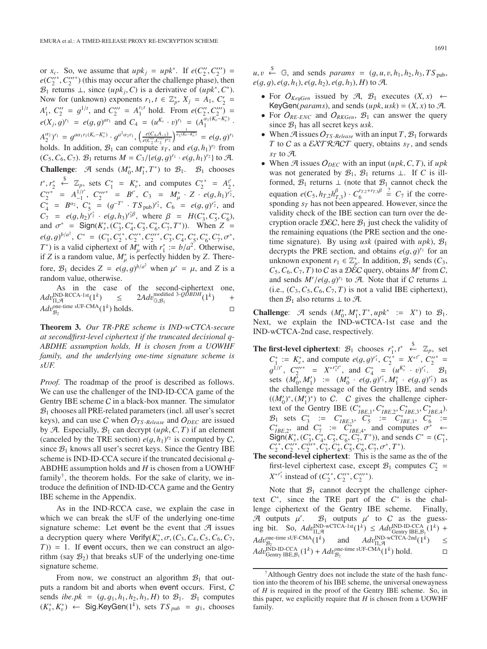or  $x_c$ . So, we assume that  $upk_j = upk^*$ . If  $e(C''_2, C'''_2) =$ <br> $e(C''^* C'''_1)$  (this may occur after the challenge phase) then  $e(C_2^{''}, C_2^{'''}')$  (this may occur after the challenge phase), then  $B_1$  returns  $\perp$  since *(unk · C*) is a derivative of *(unk · C*\*) *B*<sub>1</sub> returns ⊥, since  $(upk<sub>i</sub>, C)$  is a derivative of  $(upk<sup>*</sup>, C<sup>*</sup>)$ . Now for (unknown) exponents  $r_1, t \in \mathbb{Z}_p^*$ ,  $X_j = A_1, C'_2 = A_2 C'' - a^{j}t^{k}$  and  $C''' = a^{j}t^{k}$  hald Frame  $a(C'' - C''') = a^{j}t^{k}$  $A_1^t$ ,  $C_2'' = g^{1/t}$ , and  $C_2''' = A_1^{r_1 t}$  hold. From  $e(C_2'', C_2''') =$ <br>  $\frac{C_2}{(K - x)^r}$  $e(X_j, g)^{r_1} = e(g, g)^{ar_1}$  and  $C_4 = (u^{K_v} \cdot v)^{r_1} = (A_1^{\alpha_1(K_v - K_v^*)} \cdot$  $A_2^{(a_2)}$ <sup>r</sup><sub>1</sub> =  $g^{a\alpha_1 r_1(K_v - K_v^*)} \cdot g^{a^2 \alpha_2 r_1}, \left( \frac{e(C_4, A_{-1})}{e(C_2'', C_2''')^{\alpha_2}} \right)^{\frac{1}{\alpha_1(K_v - K_v^*)}} = e(g, g)^{r_1}$ holds. In addition,  $\mathcal{B}_1$  can compute  $s_T$ , and  $e(g, h_1)^{r_2}$  from  $(C_5, C_6)$ .  $\mathcal{B}_1$ , returns  $M = C_2 \log(a, a)^{r_1}$ ,  $e(a, h_1)^{r_2}$  to  $\mathcal{A}_2$  $(C_5, C_6, C_7)$ .  $\mathcal{B}_1$  returns  $M = C_3 / \{e(g, g)^{r_1} \cdot e(g, h_1)^{r_2}\}$  to A. **Challenge:**  $\mathcal{A}$  sends  $(M_0^*, M_1^*, T^*)$  to  $\mathcal{B}_1$ .  $\mathcal{B}_1$  chooses *t*<sup>\*</sup>, *r*<sub>2</sub><sup>\*</sup>  $\overset{\$}{\leftarrow}$   $\mathbb{Z}_p$ , sets  $C_1^* = K_v^*$ , and computes  $C_2^* = A_2^*$ ,<br>
★  $1/t^* = C_{21}^*$ ,  $C_{31}^* = C_{31}^*$ ,  $C_{31}^* = C_{31}^*$  $C_2^{\prime\prime\ast} = A_{-1}^{1/t^*}, C_2^{\prime\prime\prime\ast} = B^{t^*}, C_3 = M_{\mu}^* \cdot Z \cdot e(g, h_1)^{\frac{1}{r_2}},$ <br>  $C^* = B^{02} \cdot C^* = (c^{-T^*} - TS^{-1})^{r_2^*}, C = e(g, a)^{r_2^*}$  and  $C^* = B^{\alpha_2}$ ,  $C^* = (g^{-T^*} \cdot TS_{\text{pub}})^{r^*}, C^* = e(g, g)^{r^*},$  and<br>  $C^- = e(g, h, Y^* = e(g, h, Y^* \beta)$  where  $\beta = H(C^* C^* C^*)$  $C_7 = e(g, h_2)^{r_2} \cdot e(g, h_3)^{r_2} \beta$ , where  $\beta = H(C_3^*, C_5^*, C_6^*)$ , and  $\sigma^* = \text{Sign}(K^*, (C^*, C^*, C^*, C^*, T^*))$ , when  $Z =$ and  $\sigma^* = \text{Sign}(K^*_s, (C^*_3, C^*_4, C^*_5, C^*_6, C^*_7, T^*))$ . When  $Z =$ <br> $\sigma^* = \frac{S}{2}$ ,  $C^* = \frac{S}{2}$ ,  $C^* = \frac{S}{2}$ ,  $C^* = \frac{S}{2}$ ,  $C^* = \frac{S}{2}$ ,  $C^* = \frac{S}{2}$  $e(g, g)^{b/a^2}, C^* = (C_1^*, C_2^{**}, C_2^{**}, C_3^{**}, C_3^*, C_4^*, C_5^*, C_6^*, C_7^*, \sigma^*,$ <br>  $T^*$  is a valid ciphertext of  $M^*$  with  $r^* := h/a^2$ . Otherwise *T*<sup>\*</sup>) is a valid ciphertext of  $M^*_{\mu}$  with  $r^*_{\mu} := b/a^2$ . Otherwise, if *Z* is a random value  $M^*$  is perfectly hidden by *Z*. Thereif *Z* is a random value,  $M^*_{\mu}$  is perfectly hidden by *Z*. Therefore,  $\mathcal{B}_1$  decides  $Z = e(g, g)^{b/a^2}$  when  $\mu' = \mu$ , and Z is a random value otherwise random value, otherwise.

As in the case of the second-ciphertext one,  $Adv_{\Pi,\mathcal{A}}^{\text{IND-RCCA-1st}}(1^k)$ IND-RCCA-1st( $1^k$ )  $\leq$  2*Adv*<br>
one-time sUF-CMA( $1^k$ ) holds modified 3- $\mathcal{Q} \mathcal{D} B D H (1^k)$  +  $Adv_{\mathcal{B}_2}^{\text{one-time sUF-CMA}}(1^k)$  holds.  $\Box$ 

**Theorem 3.** *Our TR-PRE scheme is IND-wCTCA-secure at second*/*first-level ciphertext if the truncated decisional q-ABDHE assumption holds, H is chosen from a UOWHF family, and the underlying one-time signature scheme is sUF.*

*Proof.* The roadmap of the proof is described as follows. We can use the challenger of the IND-ID-CCA game of the Gentry IBE scheme C in a black-box manner. The simulator  $B_1$  chooses all PRE-related parameters (incl. all user's secret keys), and can use C when O*TS* -*Release* and O*DEC* are issued by A. Especially,  $B_1$  can decrypt (*upk*, C, T) if an element (canceled by the TRE section)  $e(g, h_1)^{r_2}$  is computed by C, since B<sub>1</sub>, knows all user's secret keys. Since the Gentry IRE since  $B_1$  knows all user's secret keys. Since the Gentry IBE scheme is IND-ID-CCA secure if the truncated decisional *q*-ABDHE assumption holds and *H* is chosen from a UOWHF family<sup> $\dagger$ </sup>, the theorem holds. For the sake of clarity, we introduce the definition of IND-ID-CCA game and the Gentry IBE scheme in the Appendix.

As in the IND-RCCA case, we explain the case in which we can break the sUF of the underlying one-time signature scheme: Let event be the event that  $\mathcal A$  issues a decryption query where  $Verify(K^*_v, \sigma, (C_3, C_4, C_5, C_6, C_7, T))$  – 1 If event occurs then we can construct an algo- $T$ )) = 1. If event occurs, then we can construct an algorithm (say  $\mathcal{B}_2$ ) that breaks sUF of the underlying one-time signature scheme.

From now, we construct an algorithm  $\mathcal{B}_1$  that outputs a random bit and aborts when event occurs. First, C sends *ibe.pk* =  $(g, g_1, h_1, h_2, h_3, H)$  to  $\mathcal{B}_1$ .  $\mathcal{B}_1$  computes  $(K_s^*, K_v^*)$  ← Sig.KeyGen(1<sup>k</sup>), sets  $TS_{pub} = g_1$ , chooses

 $u, v \stackrel{\$}{\leftarrow} \mathbb{G}$ , and sends *params* =  $(g, u, v, h_1, h_2, h_3, TS_{pub},$ <br>e(a, a) e(a, h) e(a, h) e(a, h) H) to  $\mathcal{A}$  $e(g, g)$ ,  $e(g, h_1)$ ,  $e(g, h_2)$ ,  $e(g, h_3)$ , *H*) to *A*.

- For  $O_{KeyGen}$  issued by  $\mathcal{A}, \mathcal{B}_1$  executes  $(X, x) \leftarrow$ KeyGen( $params$ ), and sends  $(upk, usk) = (X, x)$  to A.
- For  $O_{RE-ENC}$  and  $O_{RKGen}$ ,  $B_1$  can answer the query since  $B_1$  has all secret keys *usk*.
- When  $\mathcal{A}$  issues  $O_{TS\text{-}Release}$  with an input  $T, \mathcal{B}_1$  forwards *T* to *C* as a  $\angle$ *XTRACT* query, obtains  $s_T$ , and sends  $s_T$  to  $\mathcal{A}$ .
- When  $\mathcal{A}$  issues  $O_{DEC}$  with an input  $(upk, C, T)$ , if  $upk$ was not generated by  $\mathcal{B}_1$ ,  $\mathcal{B}_1$  returns  $\perp$ . If *C* is illformed,  $\mathcal{B}_1$  returns  $\perp$  (note that  $\mathcal{B}_1$  cannot check the equation  $e(C_5, h_{T,2}h_{T,3}^{\beta}) \cdot C_6^{r_{T,2}+r_{T,3}\beta}$ <br>sponding s<sub>T</sub> has not been appeared  $\stackrel{?}{=} C_7$  if the corresponding  $s_T$  has not been appeared. However, since the validity check of the IBE section can turn over the decryption oracle  $\mathcal{D}EC$ , here  $\mathcal{B}_1$  just check the validity of the remaining equations (the PRE section and the onetime signature). By using *usk* (paired with *upk*),  $B_1$ decrypts the PRE section, and obtains  $e(g, g)^{r_1}$  for an unknown exponent  $r_1 \in \mathbb{Z}^*$ . In addition  $\mathcal{B}_1$  sends  $(C_2)$ unknown exponent  $r_1 \in \mathbb{Z}_p^*$ . In addition,  $\mathcal{B}_1$  sends  $(C_3, C_4, C_5, T)$  to C as a DEC query obtains M' from C  $C_5$ ,  $C_6$ ,  $C_7$ , *T*) to *C* as a *D* $\hat{E}C$  query, obtains *M'* from *C*, and sends  $M'/e(g, g)^{r_1}$  to A. Note that if C returns  $\perp$ <br>(i.e. (C<sub>2</sub>, C<sub>6</sub>, C<sub>6</sub>, T<sub>1</sub>) is not a valid IBE cinhertext) (i.e.,  $(C_3, C_5, C_6, C_7, T)$  is not a valid IBE ciphertext), then  $\mathcal{B}_1$  also returns  $\perp$  to  $\mathcal{A}$ .

**Challenge:** A sends  $(M_0^*, M_1^*, T^*, \mu p k^* := X^*)$  to  $\mathcal{B}_1$ .<br>Next we explain the IND-wCTCA-1st case and the Next, we explain the IND-wCTCA-1st case and the IND-wCTCA-2nd case, respectively.

- **The first-level ciphertext**:  $\mathcal{B}_1$  chooses  $r_1^*, t^* \leftarrow \mathbb{Z}_p$ , set  $C^* := V^*$  and compute  $e(a, a)^{r_1^*}, C'^* = V^{*t^*}$ *C*<sup>\*</sup><sub>+</sub>: = *K*<sup>\*</sup><sub>*s*</sub></sub>, and compute *e*(*g*, *g*)<sup>*r*<sub>1</sub></sup>, *C*<sub>*z*<sup>\*</sup></sup> = *X*<sup>\**t*</sup><sup>*\**</sup>, *C*<sub>*Z*<sup>\*</sup></sub> =  $\frac{1}{2}$ </sub>  $g^{1/t^*}$ ,  $C'''_2$  =  $X^{*t^*t^*}$ , and  $C^*_{4} = (u^{K^*_{0}} \cdot v)^{r^*_{1}}$ .  $\mathcal{B}_1$ <br>sets  $(M' M') = (M^* \cdot e(a,a)^{r^*_{1}} M^* \cdot e(a,a)^{r^*_{1}})$  as sets  $(M_0^7, M_1') := (M_0^* \cdot e(g, g)^{r_1^*}, M_1^* \cdot e(g, g)^{r_1^*})$  as the challenge message of the Gentry IRE and sends the challenge message of the Gentry IBE, and sends  $((M_0')^*, (M_1')^*)$  to C. C gives the challenge cipher-<br>text of the Gentry IBE  $(C^*)$   $C^*$   $C^*$   $C^*$ text of the Gentry IBE  $(C_{IBE,1}^*, C_{IBE,2}^*, C_{IBE,3}^*, C_{IBE,4}^*)$ .<br>  $\mathcal{B}_1$  sets  $C_3^* := C_{IBE,3}^*, C_5^* := C_{IBE,1}^*, C_6^* :=$ <br>  $C^*$  and  $C^* := C^*$  and computes  $C^* \leftarrow$ *C*<sup>\*</sup><sub>*IBE*,2</sub>, and *C*<sup>\*</sup><sub>*7*</sub> := *C*<sup>\*</sup><sub>*C*<sup>\*</sup></sup>*C*<sup>\*</sup><sub>*Z*</sub><sup>*C*</sup><sub>*f*</sub><sub>*C*<sup>\*</sup></sup>*<sub><i>S*</sub>,*C*<sup>\*</sup><sub>*5*</sub>,*C*<sup>\*</sup><sub>*5*</sub>,*C*<sup>\*</sup><sub>*5*</sub>,*C*<sup>\*</sup><sub>*5*</sub>,*C*<sup>\*</sup><sub>*5*</sub>,*C*<sup>\*</sup><sub>*5*</sub>,*C*<sup>\*</sup>,*C*<sup>\*</sup>,*C*<sup>\*</sup>,*C*<sup>\*</sup>,*C*<sup>\*</sup>,*C*<sup>\*</sup>,*C*<sup>\*</sup>,*C*<sup>\*</sup>,*C*<sup>\*</sup>,</sub></sub>  $C_2^{r*}, C_2^{r*}, C_2^{r*}, C_3^*, C_4^*, C_5^*, C_6^*, C_7^*, \sigma^*, T^*.$ <br>second-level cinhertext: This is the same
- **The second-level ciphertext**: This is the same as the of the first-level ciphertext case, except  $\mathcal{B}_1$  computes  $C_2^*$  = *X*<sup>∗*r*<sub>1</sub></sup> instead of  $(C_2^*, C_2^{''*}, C_2^{''*})$ .

Note that  $\mathcal{B}_1$  cannot decrypt the challenge ciphertext *C*∗, since the TRE part of the *C*<sup>∗</sup> is the challenge ciphertext of the Gentry IBE scheme. Finally, A outputs  $\mu'$ .  $B_1$  outputs  $\mu'$  to C as the guess-<br>ing bit So  $Adn^{\text{IND-IV-CTCA-1st}}(1^k) < Adn^{\text{IND-ID-CCA}}(1^k) +$ ing bit. So,  $Adv_{\Pi, \mathcal{A}}^{\text{IND-}wCTCA-1st}(1^k) \leq Adv_{\text{Geutr}}^{\text{IND-}ID-CCA}(1^k) +$ <br>A *L*, Dne-time sUF-CMA (1*k*) and A *L*, DND-wCTCA-2nd (1*k*)  $Adv_{B_2}^{\text{one-time sUF-CMA}}(1^k)$  and  $Adv_{\text{II},\mathcal{A}}^{\text{IND-wCTCA-2nd}}(1^k) \leq$ <br>A d. IND-ID-CCA (1*k*) + A d. one-time sUF-CMA (1*k*) hold  $Adv_{\text{Gentry IBE}, \mathcal{B}_1}^{\text{IND-ID-CCA}}(1^k) + Adv_{\mathcal{B}_2}^{\text{one-time sUF-CMA}}(1^k) \text{ hold.}$  $\Box$ 

<sup>†</sup>Although Gentry does not include the state of the hash function into the theorem of his IBE scheme, the universal onewayness of *H* is required in the proof of the Gentry IBE scheme. So, in this paper, we explicitly require that  $H$  is chosen from a UOWHF family.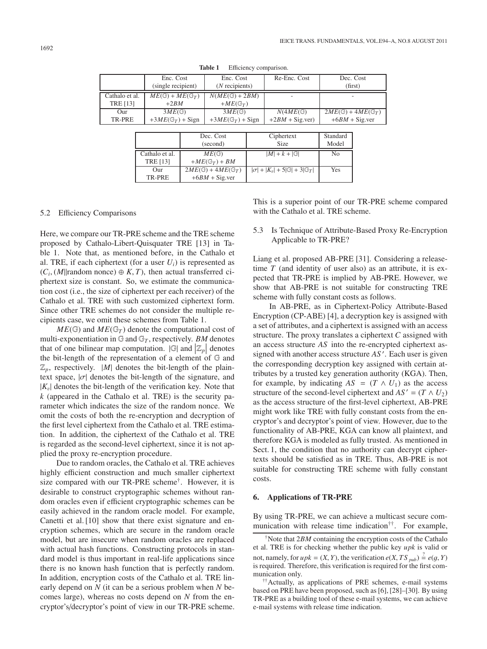|                 | Enc. Cost                           |                             | Enc. Cost               |  | Re-Enc. Cost         | Dec. Cost                             |  |  |  |
|-----------------|-------------------------------------|-----------------------------|-------------------------|--|----------------------|---------------------------------------|--|--|--|
|                 | (single recipient)                  |                             | $(N$ recipients)        |  |                      | (first)                               |  |  |  |
| Cathalo et al.  | $ME(\mathbb{G}) + ME(\mathbb{G}_T)$ |                             | $N(ME(\mathbb{G})+2BM)$ |  |                      |                                       |  |  |  |
| <b>TRE [13]</b> | $+2BM$                              |                             | $+ME(\mathbb{G}_T)$     |  |                      |                                       |  |  |  |
| Our             | $3ME$ $\textcircled{c}$             |                             | $3ME$ $\textcircled{c}$ |  | $N(4ME(\mathbb{G}))$ | $2ME(\mathbb{G}) + 4ME(\mathbb{G}_T)$ |  |  |  |
| TR-PRE          | $+3ME(\mathbb{G}_T) +$ Sign         | $+3ME(\mathbb{G}_T) +$ Sign |                         |  | $+2BM + Sig.$ ver)   | $+6BM + Sig.$ ver                     |  |  |  |
|                 |                                     |                             |                         |  |                      |                                       |  |  |  |
|                 |                                     |                             | Dec. Cost               |  | Ciphertext           | Standard                              |  |  |  |
|                 |                                     | (second)                    |                         |  | <b>Size</b>          | Model                                 |  |  |  |

Cathalo et al.  $ME(\mathbb{G})$  |  $|M| + k + |\mathbb{G}|$  No

Our  $2ME(\mathbb{G}) + 4ME(\mathbb{G}_T)$   $|\sigma| + |K_v| + 5|\mathbb{G}| + 3|\mathbb{G}_T|$  Yes

TRE [13]  $+ME(\mathbb{G}_T) + BM$ 

 $+6BM + Sig.$ ver

**Table 1** Efficiency comparison.

#### 5.2 Efficiency Comparisons

Here, we compare our TR-PRE scheme and the TRE scheme proposed by Cathalo-Libert-Quisquater TRE [13] in Table 1. Note that, as mentioned before, in the Cathalo et al. TRE, if each ciphertext (for a user  $U_i$ ) is represented as  $(C_i, (M||$ random nonce)  $\oplus K, T$ , then actual transferred ciphertext size is constant. So, we estimate the communication cost (i.e., the size of ciphertext per each receiver) of the Cathalo et al. TRE with such customized ciphertext form. Since other TRE schemes do not consider the multiple recipients case, we omit these schemes from Table 1.

 $ME(\mathbb{G})$  and  $ME(\mathbb{G}_T)$  denote the computational cost of multi-exponentiation in  $G$  and  $G_T$ , respectively. *BM* denotes that of one bilinear map computation.  $|\mathbb{G}|$  and  $|\mathbb{Z}_p|$  denotes the bit length of the representation of a element of  $\mathbb{G}$  and the bit-length of the representation of a element of G and  $\mathbb{Z}_p$ , respectively. |M| denotes the bit-length of the plaintext space,  $|\sigma|$  denotes the bit-length of the signature, and  $|K_v|$  denotes the bit-length of the verification key. Note that *k* (appeared in the Cathalo et al. TRE) is the security parameter which indicates the size of the random nonce. We omit the costs of both the re-encryption and decryption of the first level ciphertext from the Cathalo et al. TRE estimation. In addition, the ciphertext of the Cathalo et al. TRE is regarded as the second-level ciphertext, since it is not applied the proxy re-encryption procedure.

Due to random oracles, the Cathalo et al. TRE achieves highly efficient construction and much smaller ciphertext size compared with our TR-PRE scheme†. However, it is desirable to construct cryptographic schemes without random oracles even if efficient cryptographic schemes can be easily achieved in the random oracle model. For example, Canetti et al. [10] show that there exist signature and encryption schemes, which are secure in the random oracle model, but are insecure when random oracles are replaced with actual hash functions. Constructing protocols in standard model is thus important in real-life applications since there is no known hash function that is perfectly random. In addition, encryption costs of the Cathalo et al. TRE linearly depend on *N* (it can be a serious problem when *N* becomes large), whereas no costs depend on *N* from the encryptor's/decryptor's point of view in our TR-PRE scheme. This is a superior point of our TR-PRE scheme compared with the Cathalo et al. TRE scheme.

## 5.3 Is Technique of Attribute-Based Proxy Re-Encryption Applicable to TR-PRE?

Liang et al. proposed AB-PRE [31]. Considering a releasetime *T* (and identity of user also) as an attribute, it is expected that TR-PRE is implied by AB-PRE. However, we show that AB-PRE is not suitable for constructing TRE scheme with fully constant costs as follows.

In AB-PRE, as in Ciphertext-Policy Attribute-Based Encryption (CP-ABE) [4], a decryption key is assigned with a set of attributes, and a ciphertext is assigned with an access structure. The proxy translates a ciphertext *C* assigned with an access structure *AS* into the re-encrypted ciphertext assigned with another access structure *AS* . Each user is given the corresponding decryption key assigned with certain attributes by a trusted key generation authority (KGA). Then, for example, by indicating  $AS = (T \wedge U_1)$  as the access structure of the second-level ciphertext and  $AS' = (T \wedge U_2)$ as the access structure of the first-level ciphertext, AB-PRE might work like TRE with fully constant costs from the encryptor's and decryptor's point of view. However, due to the functionality of AB-PRE, KGA can know all plaintext, and therefore KGA is modeled as fully trusted. As mentioned in Sect. 1, the condition that no authority can decrypt ciphertexts should be satisfied as in TRE. Thus, AB-PRE is not suitable for constructing TRE scheme with fully constant costs.

## **6. Applications of TR-PRE**

By using TR-PRE, we can achieve a multicast secure communication with release time indication<sup> $\dagger\dagger$ </sup>. For example,

<sup>†</sup>Note that 2*BM* containing the encryption costs of the Cathalo et al. TRE is for checking whether the public key *upk* is valid or not, namely, for  $upk = (X, Y)$ , the verification  $e(X, TS_{pub}) \stackrel{?}{=} e(g, Y)$ <br>is required. Therefore, this verification is required for the first comis required. Therefore, this verification is required for the first communication only.

<sup>&</sup>lt;sup>††</sup>Actually, as applications of PRE schemes, e-mail systems based on PRE have been proposed, such as [6], [28]–[30]. By using TR-PRE as a building tool of these e-mail systems, we can achieve e-mail systems with release time indication.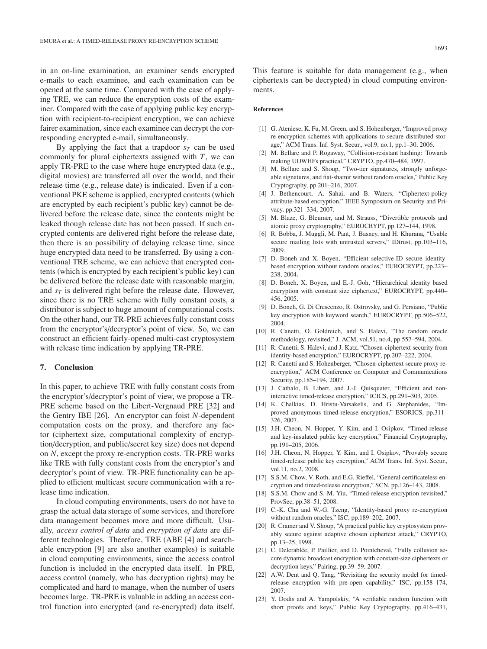in an on-line examination, an examiner sends encrypted e-mails to each examinee, and each examination can be opened at the same time. Compared with the case of applying TRE, we can reduce the encryption costs of the examiner. Compared with the case of applying public key encryption with recipient-to-recipient encryption, we can achieve fairer examination, since each examinee can decrypt the corresponding encrypted e-mail, simultaneously.

By applying the fact that a trapdoor  $s_T$  can be used commonly for plural ciphertexts assigned with *T*, we can apply TR-PRE to the case where huge encrypted data (e.g., digital movies) are transferred all over the world, and their release time (e.g., release date) is indicated. Even if a conventional PKE scheme is applied, encrypted contents (which are encrypted by each recipient's public key) cannot be delivered before the release date, since the contents might be leaked though release date has not been passed. If such encrypted contents are delivered right before the release date, then there is an possibility of delaying release time, since huge encrypted data need to be transferred. By using a conventional TRE scheme, we can achieve that encrypted contents (which is encrypted by each recipient's public key) can be delivered before the release date with reasonable margin, and  $s_T$  is delivered right before the release date. However, since there is no TRE scheme with fully constant costs, a distributor is subject to huge amount of computational costs. On the other hand, our TR-PRE achieves fully constant costs from the encryptor's/decryptor's point of view. So, we can construct an efficient fairly-opened multi-cast cryptosystem with release time indication by applying TR-PRE.

#### **7. Conclusion**

In this paper, to achieve TRE with fully constant costs from the encryptor's/decryptor's point of view, we propose a TR-PRE scheme based on the Libert-Vergnaud PRE [32] and the Gentry IBE [26]. An encryptor can foist *N*-dependent computation costs on the proxy, and therefore any factor (ciphertext size, computational complexity of encryption/decryption, and public/secret key size) does not depend on *N*, except the proxy re-encryption costs. TR-PRE works like TRE with fully constant costs from the encryptor's and decryptor's point of view. TR-PRE functionality can be applied to efficient multicast secure communication with a release time indication.

In cloud computing environments, users do not have to grasp the actual data storage of some services, and therefore data management becomes more and more difficult. Usually, *access control of data* and *encryption of data* are different technologies. Therefore, TRE (ABE [4] and searchable encryption [9] are also another examples) is suitable in cloud computing environments, since the access control function is included in the encrypted data itself. In PRE, access control (namely, who has decryption rights) may be complicated and hard to manage, when the number of users becomes large. TR-PRE is valuable in adding an access control function into encrypted (and re-encrypted) data itself.

This feature is suitable for data management (e.g., when ciphertexts can be decrypted) in cloud computing environments.

#### **References**

- [1] G. Ateniese, K. Fu, M. Green, and S. Hohenberger, "Improved proxy" re-encryption schemes with applications to secure distributed storage," ACM Trans. Inf. Syst. Secur., vol.9, no.1, pp.1–30, 2006.
- [2] M. Bellare and P. Rogaway, "Collision-resistant hashing: Towards making UOWHFs practical," CRYPTO, pp.470–484, 1997.
- [3] M. Bellare and S. Shoup, "Two-tier signatures, strongly unforgeable signatures, and fiat-shamir without random oracles," Public Key Cryptography, pp.201–216, 2007.
- [4] J. Bethencourt, A. Sahai, and B. Waters, "Ciphertext-policy attribute-based encryption," IEEE Symposium on Security and Privacy, pp.321–334, 2007.
- [5] M. Blaze, G. Bleumer, and M. Strauss, "Divertible protocols and atomic proxy cryptography," EUROCRYPT, pp.127–144, 1998.
- [6] R. Bobba, J. Muggli, M. Pant, J. Basney, and H. Khurana, "Usable secure mailing lists with untrusted servers," IDtrust, pp.103–116, 2009.
- [7] D. Boneh and X. Boyen, "Efficient selective-ID secure identitybased encryption without random oracles," EUROCRYPT, pp.223– 238, 2004.
- [8] D. Boneh, X. Boyen, and E.-J. Goh, "Hierarchical identity based encryption with constant size ciphertext," EUROCRYPT, pp.440– 456, 2005.
- [9] D. Boneh, G. Di Crescenzo, R. Ostrovsky, and G. Persiano, "Public key encryption with keyword search," EUROCRYPT, pp.506–522, 2004.
- [10] R. Canetti, O. Goldreich, and S. Halevi, "The random oracle methodology, revisited," J. ACM, vol.51, no.4, pp.557–594, 2004.
- [11] R. Canetti, S. Halevi, and J. Katz, "Chosen-ciphertext security from identity-based encryption," EUROCRYPT, pp.207–222, 2004.
- [12] R. Canetti and S. Hohenberger, "Chosen-ciphertext secure proxy reencryption," ACM Conference on Computer and Communications Security, pp.185–194, 2007.
- [13] J. Cathalo, B. Libert, and J.-J. Quisquater, "Efficient and noninteractive timed-release encryption," ICICS, pp.291–303, 2005.
- [14] K. Chalkias, D. Hristu-Varsakelis, and G. Stephanides, "Improved anonymous timed-release encryption," ESORICS, pp.311– 326, 2007.
- [15] J.H. Cheon, N. Hopper, Y. Kim, and I. Osipkov, "Timed-release and key-insulated public key encryption," Financial Cryptography, pp.191–205, 2006.
- [16] J.H. Cheon, N. Hopper, Y. Kim, and I. Osipkov, "Provably secure timed-release public key encryption," ACM Trans. Inf. Syst. Secur., vol.11, no.2, 2008.
- [17] S.S.M. Chow, V. Roth, and E.G. Rieffel, "General certificateless encryption and timed-release encryption," SCN, pp.126–143, 2008.
- [18] S.S.M. Chow and S.-M. Yiu, "Timed-release encryption revisited," ProvSec, pp.38–51, 2008.
- [19] C.-K. Chu and W.-G. Tzeng, "Identity-based proxy re-encryption without random oracles," ISC, pp.189–202, 2007.
- [20] R. Cramer and V. Shoup, "A practical public key cryptosystem provably secure against adaptive chosen ciphertext attack," CRYPTO, pp.13–25, 1998.
- [21] C. Delerablée, P. Paillier, and D. Pointcheval, "Fully collusion secure dynamic broadcast encryption with constant-size ciphertexts or decryption keys," Pairing, pp.39–59, 2007.
- [22] A.W. Dent and Q. Tang, "Revisiting the security model for timedrelease encryption with pre-open capability," ISC, pp.158–174, 2007.
- [23] Y. Dodis and A. Yampolskiy, "A verifiable random function with short proofs and keys," Public Key Cryptography, pp.416–431,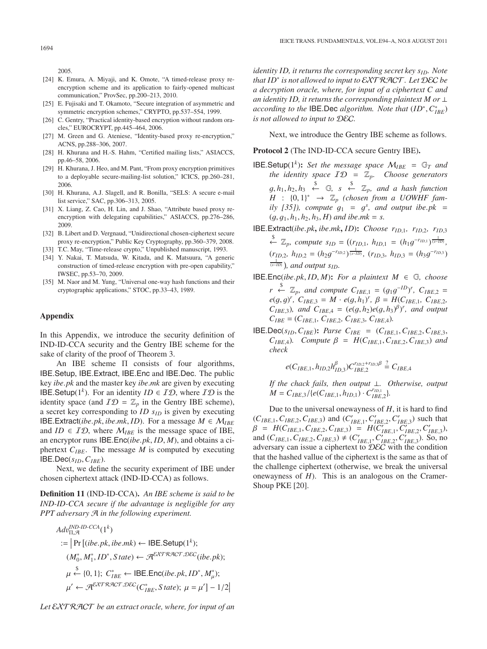2005.

- [24] K. Emura, A. Miyaji, and K. Omote, "A timed-release proxy reencryption scheme and its application to fairly-opened multicast communication," ProvSec, pp.200–213, 2010.
- [25] E. Fujisaki and T. Okamoto, "Secure integration of asymmetric and symmetric encryption schemes," CRYPTO, pp.537–554, 1999.
- [26] C. Gentry, "Practical identity-based encryption without random oracles," EUROCRYPT, pp.445–464, 2006.
- [27] M. Green and G. Ateniese, "Identity-based proxy re-encryption," ACNS, pp.288–306, 2007.
- [28] H. Khurana and H.-S. Hahm, "Certified mailing lists," ASIACCS, pp.46–58, 2006.
- [29] H. Khurana, J. Heo, and M. Pant, "From proxy encryption primitives to a deployable secure-mailing-list solution," ICICS, pp.260–281, 2006.
- [30] H. Khurana, A.J. Slagell, and R. Bonilla, "SELS: A secure e-mail list service," SAC, pp.306–313, 2005.
- [31] X. Liang, Z. Cao, H. Lin, and J. Shao, "Attribute based proxy reencryption with delegating capabilities," ASIACCS, pp.276–286, 2009.
- [32] B. Libert and D. Vergnaud, "Unidirectional chosen-ciphertext secure proxy re-encryption," Public Key Cryptography, pp.360–379, 2008.
- [33] T.C. May, "Time-release crypto," Unpublished manuscript, 1993.
- [34] Y. Nakai, T. Matsuda, W. Kitada, and K. Matsuura, "A generic construction of timed-release encryption with pre-open capability," IWSEC, pp.53–70, 2009.
- [35] M. Naor and M. Yung, "Universal one-way hash functions and their cryptographic applications," STOC, pp.33–43, 1989.

#### **Appendix**

In this Appendix, we introduce the security definition of IND-ID-CCA security and the Gentry IBE scheme for the sake of clarity of the proof of Theorem 3.

An IBE scheme Π consists of four algorithms, IBE.Setup, IBE.Extract, IBE.Enc and IBE.Dec. The public key *ibe*.*pk* and the master key *ibe*.*mk* are given by executing **IBE.Setup**( $1^k$ ). For an identity *ID*  $\in$  *ID*, where *ID* is the identity space (and  $ID = \mathbb{Z}_p$  in the Gentry IBE scheme), a secret key corresponding to *ID*  $s<sub>ID</sub>$  is given by executing IBE.Extract(*ibe.pk, ibe.mk, ID*). For a message  $M \in \mathcal{M}_{IBE}$ and *ID*  $\in$  *ID*, where  $M_{IBE}$  is the message space of IBE, an encryptor runs IBE.Enc(*ibe*.*pk*, *ID*, *<sup>M</sup>*), and obtains a ciphertext  $C_{IBE}$ . The message *M* is computed by executing IBE.Dec(*sID*,*CIBE*).

Next, we define the security experiment of IBE under chosen ciphertext attack (IND-ID-CCA) as follows.

**Definition 11** (IND-ID-CCA)**.** *An IBE scheme is said to be IND-ID-CCA secure if the advantage is negligible for any PPT adversary* A *in the following experiment.*

$$
Adv_{\Pi,\mathcal{A}}^{IND-ID-CCA}(1^k)
$$
  
:=  $Pr[(ibe.pk,ibe.mk) \leftarrow \text{IBE.Setup}(1^k);$   

$$
(M_0^*, M_1^*, ID^*, State) \leftarrow \mathcal{A}^{EXT\mathcal{R}\mathcal{ACT}, \mathcal{D}\mathcal{E}\mathcal{C}}(ibe.pk);
$$
  
 $\mu \leftarrow \{0, 1\}; C_{IBE}^* \leftarrow \text{IBE.Enc}(ibe.pk, ID^*, M_\mu^*);$   
 $\mu' \leftarrow \mathcal{A}^{EXT\mathcal{R}\mathcal{ACT}, \mathcal{D}\mathcal{EC}}(C_{IBE}^*, State); \mu = \mu'] - 1/2$ 

*Let* EXT RACT *be an extract oracle, where, for input of an*

*identity ID, it returns the corresponding secret key s<sub>ID</sub>. Note that ID*<sup>∗</sup> *is not allowed to input to* EXT RACT*. Let* DEC *be a decryption oracle, where, for input of a ciphertext C and an identity ID, it returns the corresponding plaintext M or* ⊥ *according to the* IBE.Dec *algorithm. Note that*  $(ID^*, C^*_{IBE})$ <br>*is not allowed to input to*  $DEF$ *is not allowed to input to* DEC*.*

Next, we introduce the Gentry IBE scheme as follows.

#### **Protocol 2** (The IND-ID-CCA secure Gentry IBE)**.**

- **IBE.Setup**( $1^k$ ): *Set the message space*  $M_{IBE} = \mathbb{G}_T$  *and the identity space*  $ID = \mathbb{Z}_p$ . *Choose generators*  $g, h_1, h_2, h_3 \stackrel{\$}{\leftarrow} \mathbb{G}, \quad s \stackrel{\$}{\leftarrow} \mathbb{Z}_p, \text{ and a hash function}$ <br>  $H : [0, 1]^* \rightarrow \mathbb{Z}$  (chosen from a UOWHE fam- $H : \{0,1\}^* \rightarrow \mathbb{Z}_p$  (chosen from a UOWHF fam-<br>*ily* [351) compute  $a_1 = a_2^s$  and output ibe pk *ily* [35]), compute  $g_1 = g^s$ , and output ibe.*pk* =  $(g_1 g_2 h_1 h_2 h_2 h_3 h_4 h_5 h_6 h_7 h_7 h_8 h_8 h_9 h_9 h_1 h_1 h_2 h_3 h_4 h_5 h_6 h_7 h_8 h_9 h_1 h_1 h_2 h_3 h_4 h_1 h_2 h_3 h_4 h_1 h_2 h_3 h_4 h_1 h_2 h_3 h_4 h_1 h_2 h_3 h_4 h_1 h_2 h_1 h_2 h_1 h_2 h_2 h_3 h_4 h$  $(q, q_1, h_1, h_2, h_3, H)$  *and ibe.mk* = *s.*
- IBE.Extract(*ibe*.*pk***,** *ibe*.*mk***,** *ID*)**:** *Choose rID*,<sup>1</sup>*, rID*,<sup>2</sup>*, rID*,<sup>3</sup>
	- $\overset{\$}{\leftarrow} \mathbb{Z}_p$ , compute  $s_{ID} = ((r_{ID,1}, h_{ID,1} = (h_1 g^{-r_{ID,1}})^{\frac{1}{(s-ID)}},$  $(r_{ID,2}, h_{ID,2} = (h_{2}g^{-r_{ID,2}})^{\frac{1}{(s-D)}}$ ,  $(r_{ID,3}, h_{ID,3} = (h_{3}g^{-r_{ID,3}})^{\frac{1}{(s-D)}}$ (*s*−*ID*) *, and output sID.*
- IBE.Enc(*ibe.pk, ID, M*): *For a plaintext*  $M \in \mathbb{G}$ *, choose r*  $\stackrel{\$}{\leftarrow} \mathbb{Z}_p$ , and compute  $C_{IBE,1} = (g_1 g^{-1D})^r$ ,  $C_{IBE,2} =$ <br>*e*(a, a)<sup>*r*</sup>  $C_{IBE,2} = M \cdot e(a, h)$ <sup>*r*</sup>  $B = H(C_{IBE,1} - C_{IBE,2})$  $e(g, g)^r$ ,  $C_{IBE,3} = M \cdot e(g, h_1)^r$ ,  $\beta = H(C_{IBE,1}, C_{IBE,2},$ <br>*Cinne)* and *Cinn i = (e(g, ho)e(g, ho)<sup>g</sup>)<sup>r</sup>, and output*  $C_{IBE,3}$ )*, and*  $C_{IBE,4} = (e(g, h_2)e(g, h_3)^{\beta})^r$ *, and output*  $C_{IBE} = (C_{IBE})^r$ ,  $C_{IBE,3} = (g, h_2)e(g, h_3)^{\beta})^r$  $C_{IBE} = (C_{IBE,1}, C_{IBE,2}, C_{IBE,3}, C_{IBE,4})$ .
- **IBE.Dec**( $s_{ID}, C_{IBE}$ ): *Parse*  $C_{IBE} = (C_{IBE,1}, C_{IBE,2}, C_{IBE,3},$ *C*<sub>*IBE,4*</sub>*). Compute β* = *H*(*C*<sub>*IBE,1, C<sub><i>IBE,2, C<sub>IBE,3</sub>) and*</sub></sub> *check*

$$
e(C_{IBE,1}, h_{ID,2}h_{ID,3}^{\beta})C_{IBE,2}^{r_{ID,2}+r_{ID,3}\beta} \stackrel{?}{=} C_{IBE,4}
$$

*If the chack fails, then output* ⊥*. Otherwise, output*  $M = C_{IBE,3}/\{e(C_{IBE,1}, h_{ID,1}) \cdot C_{IBE,2}^{r_{ID,1}}\}.$ 

Due to the universal onewayness of *H*, it is hard to find  $(C_{IBE,1}, C_{IBE,2}, C_{IBE,3})$  and  $(C'_{IBE,1}, C'_{IBE,2}, C'_{IBE,3})$  such that  $B = H(C_{IBE,1}, C_{IBE,3}, C_{IBE,3}) = H(C' - C' - C')$  $\beta = H(C_{IBE,1}, C_{IBE,2}, C_{IBE,3}) = H(C'_{IBE,1}, C'_{IBE,2}, C'_{IBE,3})$ <br>and  $(C_{IBE,1}, C_{IBE,2}, C_{IBE,3}) \neq (C'_{IBE,1}, C'_{IBE,2}, C'_{IBE,3})$ , So, no and  $(C_{IBE,1}, C_{IBE,2}, C_{IBE,3}) \neq (C'_{IBE,1}, C'_{IBE,2}, C'_{IBE,3})$ . So, no<br>adversary can issue a cinhertext to  $\mathcal{DEC}$  with the condition adversary can issue a ciphertext to  $\widehat{\mathcal{D}EC}$  with the condition that the hashed vallue of the ciphertext is the same as that of the challenge ciphertext (otherwise, we break the universal onewayness of *H*). This is an analogous on the Cramer-Shoup PKE [20].